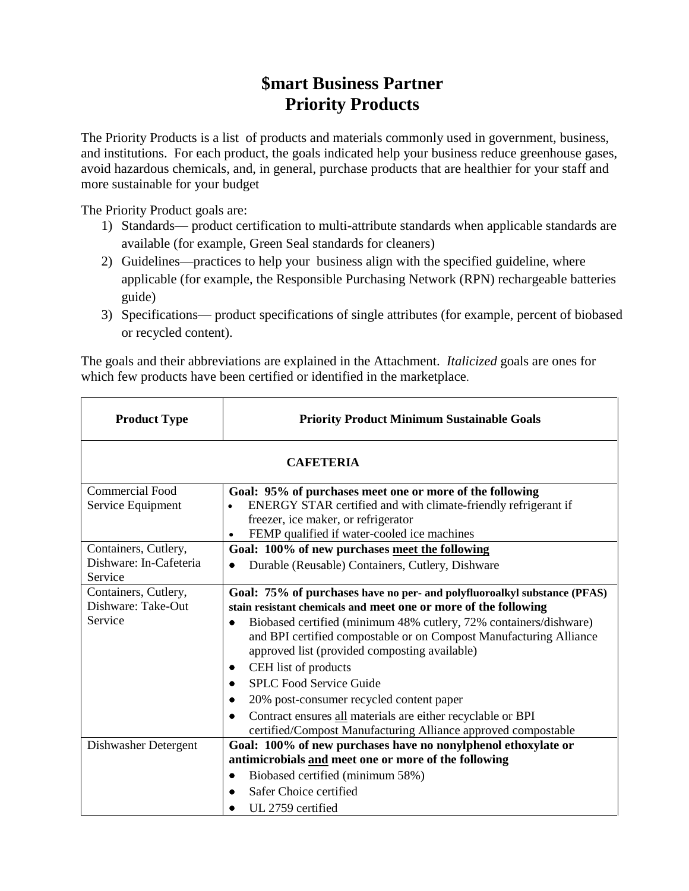# **\$mart Business Partner Priority Products**

The Priority Products is a list of products and materials commonly used in government, business, and institutions. For each product, the goals indicated help your business reduce greenhouse gases, avoid hazardous chemicals, and, in general, purchase products that are healthier for your staff and more sustainable for your budget

The Priority Product goals are:

- 1) Standards— product certification to multi-attribute standards when applicable standards are available (for example, Green Seal standards for cleaners)
- 2) Guidelines—practices to help your business align with the specified guideline, where applicable (for example, the Responsible Purchasing Network (RPN) rechargeable batteries guide)
- 3) Specifications— product specifications of single attributes (for example, percent of biobased or recycled content).

The goals and their abbreviations are explained in the Attachment. *Italicized* goals are ones for which few products have been certified or identified in the marketplace.

| <b>Product Type</b>                                       | <b>Priority Product Minimum Sustainable Goals</b>                                                                                                                                                                                                                                                                                                                                                                                                                                                                                                                             |  |
|-----------------------------------------------------------|-------------------------------------------------------------------------------------------------------------------------------------------------------------------------------------------------------------------------------------------------------------------------------------------------------------------------------------------------------------------------------------------------------------------------------------------------------------------------------------------------------------------------------------------------------------------------------|--|
| <b>CAFETERIA</b>                                          |                                                                                                                                                                                                                                                                                                                                                                                                                                                                                                                                                                               |  |
| <b>Commercial Food</b><br>Service Equipment               | Goal: 95% of purchases meet one or more of the following<br>ENERGY STAR certified and with climate-friendly refrigerant if<br>freezer, ice maker, or refrigerator<br>FEMP qualified if water-cooled ice machines<br>$\bullet$                                                                                                                                                                                                                                                                                                                                                 |  |
| Containers, Cutlery,<br>Dishware: In-Cafeteria<br>Service | Goal: 100% of new purchases meet the following<br>Durable (Reusable) Containers, Cutlery, Dishware                                                                                                                                                                                                                                                                                                                                                                                                                                                                            |  |
| Containers, Cutlery,<br>Dishware: Take-Out<br>Service     | Goal: 75% of purchases have no per- and polyfluoroalkyl substance (PFAS)<br>stain resistant chemicals and meet one or more of the following<br>Biobased certified (minimum 48% cutlery, 72% containers/dishware)<br>and BPI certified compostable or on Compost Manufacturing Alliance<br>approved list (provided composting available)<br>CEH list of products<br><b>SPLC Food Service Guide</b><br>20% post-consumer recycled content paper<br>Contract ensures all materials are either recyclable or BPI<br>certified/Compost Manufacturing Alliance approved compostable |  |
| Dishwasher Detergent                                      | Goal: 100% of new purchases have no nonylphenol ethoxylate or<br>antimicrobials and meet one or more of the following<br>Biobased certified (minimum 58%)<br>Safer Choice certified<br>UL 2759 certified                                                                                                                                                                                                                                                                                                                                                                      |  |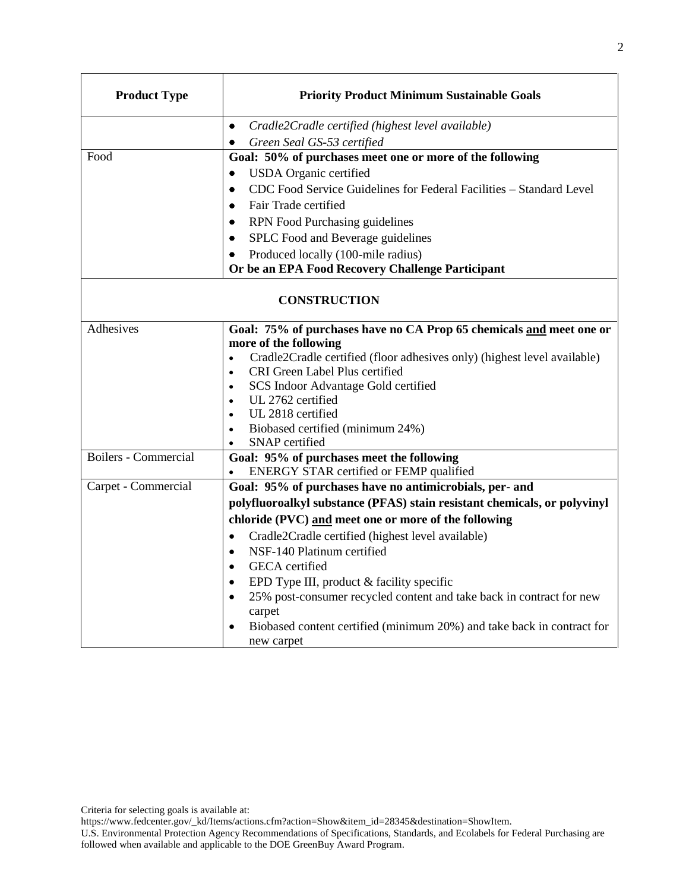| <b>Product Type</b>         | <b>Priority Product Minimum Sustainable Goals</b>                                                 |
|-----------------------------|---------------------------------------------------------------------------------------------------|
|                             | Cradle2Cradle certified (highest level available)<br>$\bullet$                                    |
|                             | Green Seal GS-53 certified<br>٠                                                                   |
| Food                        | Goal: 50% of purchases meet one or more of the following                                          |
|                             | <b>USDA</b> Organic certified<br>$\bullet$                                                        |
|                             | CDC Food Service Guidelines for Federal Facilities - Standard Level<br>٠                          |
|                             | Fair Trade certified<br>$\bullet$                                                                 |
|                             | RPN Food Purchasing guidelines<br>$\bullet$                                                       |
|                             | SPLC Food and Beverage guidelines                                                                 |
|                             | Produced locally (100-mile radius)<br>٠                                                           |
|                             | Or be an EPA Food Recovery Challenge Participant                                                  |
|                             | <b>CONSTRUCTION</b>                                                                               |
| Adhesives                   | Goal: 75% of purchases have no CA Prop 65 chemicals and meet one or                               |
|                             | more of the following                                                                             |
|                             | Cradle2Cradle certified (floor adhesives only) (highest level available)<br>$\bullet$             |
|                             | CRI Green Label Plus certified<br>$\bullet$<br>SCS Indoor Advantage Gold certified<br>$\bullet$   |
|                             | UL 2762 certified<br>$\bullet$                                                                    |
|                             | UL 2818 certified<br>$\bullet$                                                                    |
|                             | Biobased certified (minimum 24%)<br>$\bullet$                                                     |
|                             | SNAP certified<br>$\bullet$                                                                       |
| <b>Boilers - Commercial</b> | Goal: 95% of purchases meet the following<br>ENERGY STAR certified or FEMP qualified              |
| Carpet - Commercial         | Goal: 95% of purchases have no antimicrobials, per- and                                           |
|                             | polyfluoroalkyl substance (PFAS) stain resistant chemicals, or polyvinyl                          |
|                             | chloride (PVC) and meet one or more of the following                                              |
|                             | Cradle2Cradle certified (highest level available)<br>$\bullet$                                    |
|                             | NSF-140 Platinum certified<br>$\bullet$                                                           |
|                             | GECA certified<br>$\bullet$                                                                       |
|                             | EPD Type III, product & facility specific<br>$\bullet$                                            |
|                             | 25% post-consumer recycled content and take back in contract for new<br>carpet                    |
|                             | Biobased content certified (minimum 20%) and take back in contract for<br>$\bullet$<br>new carpet |

[https://www.fedcenter.gov/\\_kd/Items/actions.cfm?action=Show&item\\_id=28345&destination=ShowItem.](https://www.fedcenter.gov/_kd/Items/actions.cfm?action=Show&item_id=28345&destination=ShowItem)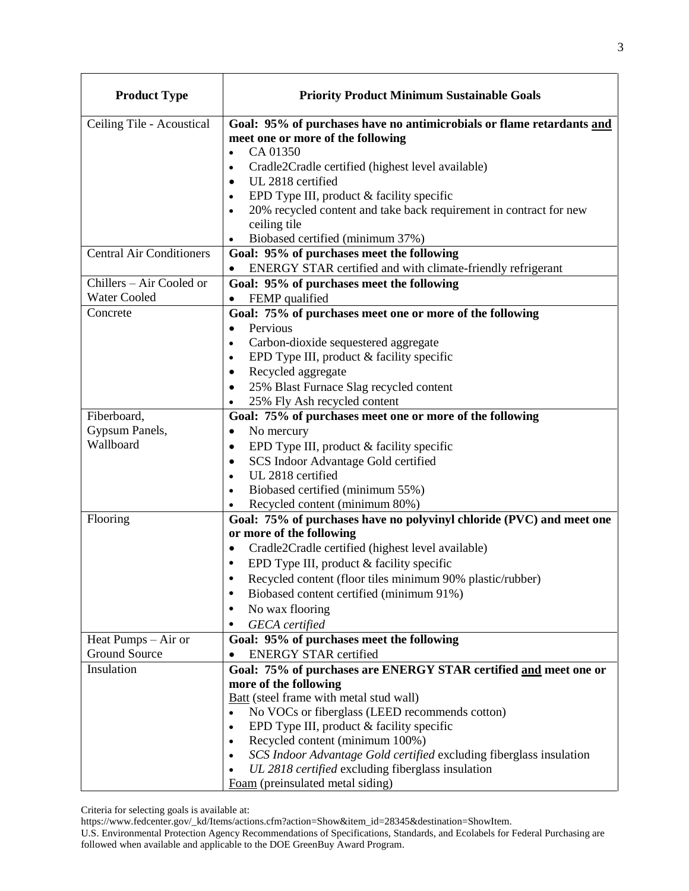| <b>Product Type</b>             | <b>Priority Product Minimum Sustainable Goals</b>                                                          |
|---------------------------------|------------------------------------------------------------------------------------------------------------|
| Ceiling Tile - Acoustical       | Goal: 95% of purchases have no antimicrobials or flame retardants and<br>meet one or more of the following |
|                                 | CA 01350<br>$\bullet$                                                                                      |
|                                 | Cradle2Cradle certified (highest level available)<br>$\bullet$<br>UL 2818 certified<br>$\bullet$           |
|                                 | EPD Type III, product & facility specific                                                                  |
|                                 | 20% recycled content and take back requirement in contract for new                                         |
|                                 | ceiling tile                                                                                               |
|                                 | Biobased certified (minimum 37%)<br>$\bullet$                                                              |
| <b>Central Air Conditioners</b> | Goal: 95% of purchases meet the following                                                                  |
|                                 | ENERGY STAR certified and with climate-friendly refrigerant                                                |
| Chillers - Air Cooled or        | Goal: 95% of purchases meet the following                                                                  |
| <b>Water Cooled</b>             | FEMP qualified                                                                                             |
| Concrete                        | Goal: 75% of purchases meet one or more of the following                                                   |
|                                 | Pervious<br>$\bullet$<br>Carbon-dioxide sequestered aggregate<br>$\bullet$                                 |
|                                 | EPD Type III, product & facility specific<br>$\bullet$                                                     |
|                                 | Recycled aggregate                                                                                         |
|                                 | 25% Blast Furnace Slag recycled content<br>$\bullet$                                                       |
|                                 | 25% Fly Ash recycled content                                                                               |
| Fiberboard,                     | Goal: 75% of purchases meet one or more of the following                                                   |
| Gypsum Panels,                  | No mercury                                                                                                 |
| Wallboard                       | EPD Type III, product & facility specific                                                                  |
|                                 | SCS Indoor Advantage Gold certified<br>$\bullet$                                                           |
|                                 | UL 2818 certified<br>$\bullet$                                                                             |
|                                 | Biobased certified (minimum 55%)<br>$\bullet$                                                              |
|                                 | Recycled content (minimum 80%)                                                                             |
| Flooring                        | Goal: 75% of purchases have no polyvinyl chloride (PVC) and meet one<br>or more of the following           |
|                                 | Cradle2Cradle certified (highest level available)<br>$\bullet$                                             |
|                                 | EPD Type III, product & facility specific                                                                  |
|                                 | Recycled content (floor tiles minimum 90% plastic/rubber)                                                  |
|                                 | Biobased content certified (minimum 91%)                                                                   |
|                                 | No wax flooring                                                                                            |
|                                 | <b>GECA</b> certified                                                                                      |
| Heat Pumps $-$ Air or           | Goal: 95% of purchases meet the following                                                                  |
| Ground Source                   | <b>ENERGY STAR certified</b>                                                                               |
| Insulation                      | Goal: 75% of purchases are ENERGY STAR certified and meet one or                                           |
|                                 | more of the following                                                                                      |
|                                 | <b>Batt</b> (steel frame with metal stud wall)                                                             |
|                                 | No VOCs or fiberglass (LEED recommends cotton)<br>$\bullet$                                                |
|                                 | EPD Type III, product & facility specific<br>$\bullet$<br>Recycled content (minimum 100%)<br>$\bullet$     |
|                                 | SCS Indoor Advantage Gold certified excluding fiberglass insulation                                        |
|                                 | UL 2818 certified excluding fiberglass insulation                                                          |
|                                 | Foam (preinsulated metal siding)                                                                           |

[https://www.fedcenter.gov/\\_kd/Items/actions.cfm?action=Show&item\\_id=28345&destination=ShowItem.](https://www.fedcenter.gov/_kd/Items/actions.cfm?action=Show&item_id=28345&destination=ShowItem)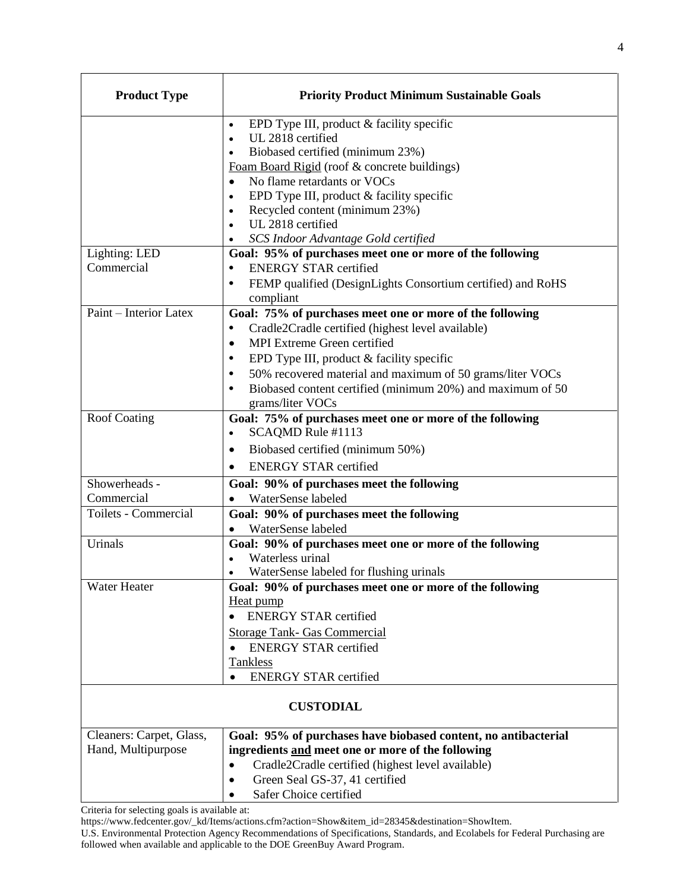| <b>Product Type</b>      | <b>Priority Product Minimum Sustainable Goals</b>                                             |
|--------------------------|-----------------------------------------------------------------------------------------------|
|                          | EPD Type III, product & facility specific<br>$\bullet$<br>UL 2818 certified<br>$\bullet$      |
|                          | Biobased certified (minimum 23%)<br>$\bullet$<br>Foam Board Rigid (roof & concrete buildings) |
|                          | No flame retardants or VOCs<br>EPD Type III, product & facility specific                      |
|                          | Recycled content (minimum 23%)<br>$\bullet$<br>UL 2818 certified<br>$\bullet$                 |
|                          | SCS Indoor Advantage Gold certified                                                           |
| Lighting: LED            | Goal: 95% of purchases meet one or more of the following                                      |
| Commercial               | <b>ENERGY STAR certified</b><br>$\bullet$                                                     |
|                          | FEMP qualified (DesignLights Consortium certified) and RoHS<br>compliant                      |
| Paint - Interior Latex   | Goal: 75% of purchases meet one or more of the following                                      |
|                          | Cradle2Cradle certified (highest level available)<br>$\bullet$                                |
|                          | MPI Extreme Green certified<br>$\bullet$                                                      |
|                          | EPD Type III, product & facility specific<br>$\bullet$                                        |
|                          | 50% recovered material and maximum of 50 grams/liter VOCs<br>$\bullet$                        |
|                          | Biobased content certified (minimum 20%) and maximum of 50<br>$\bullet$<br>grams/liter VOCs   |
| <b>Roof Coating</b>      | Goal: 75% of purchases meet one or more of the following<br>SCAQMD Rule #1113<br>$\bullet$    |
|                          | Biobased certified (minimum 50%)<br>٠                                                         |
|                          | <b>ENERGY STAR certified</b>                                                                  |
| Showerheads -            | Goal: 90% of purchases meet the following                                                     |
| Commercial               | WaterSense labeled                                                                            |
| Toilets - Commercial     | Goal: 90% of purchases meet the following<br>WaterSense labeled                               |
| Urinals                  | $\bullet$<br>Goal: 90% of purchases meet one or more of the following                         |
|                          | Waterless urinal                                                                              |
|                          | WaterSense labeled for flushing urinals<br>$\bullet$                                          |
| Water Heater             | Goal: 90% of purchases meet one or more of the following                                      |
|                          | Heat pump                                                                                     |
|                          | <b>ENERGY STAR certified</b>                                                                  |
|                          | <b>Storage Tank- Gas Commercial</b>                                                           |
|                          | <b>ENERGY STAR certified</b>                                                                  |
|                          | <b>Tankless</b><br><b>ENERGY STAR certified</b>                                               |
| <b>CUSTODIAL</b>         |                                                                                               |
| Cleaners: Carpet, Glass, | Goal: 95% of purchases have biobased content, no antibacterial                                |
| Hand, Multipurpose       | ingredients and meet one or more of the following                                             |
|                          | Cradle2Cradle certified (highest level available)<br>$\bullet$                                |
|                          | Green Seal GS-37, 41 certified<br>$\bullet$                                                   |
|                          | Safer Choice certified                                                                        |

[https://www.fedcenter.gov/\\_kd/Items/actions.cfm?action=Show&item\\_id=28345&destination=ShowItem.](https://www.fedcenter.gov/_kd/Items/actions.cfm?action=Show&item_id=28345&destination=ShowItem)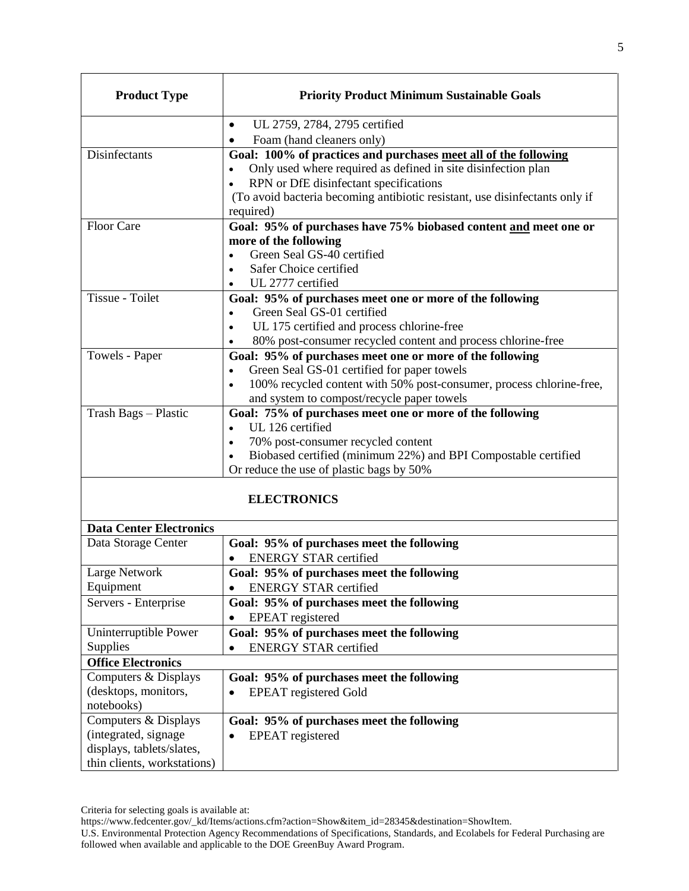| <b>Product Type</b>            | <b>Priority Product Minimum Sustainable Goals</b>                                      |
|--------------------------------|----------------------------------------------------------------------------------------|
|                                | UL 2759, 2784, 2795 certified<br>$\bullet$                                             |
|                                | Foam (hand cleaners only)<br>$\bullet$                                                 |
| Disinfectants                  | Goal: 100% of practices and purchases meet all of the following                        |
|                                | Only used where required as defined in site disinfection plan                          |
|                                | RPN or DfE disinfectant specifications                                                 |
|                                | (To avoid bacteria becoming antibiotic resistant, use disinfectants only if            |
|                                | required)                                                                              |
| <b>Floor Care</b>              | Goal: 95% of purchases have 75% biobased content and meet one or                       |
|                                | more of the following                                                                  |
|                                | Green Seal GS-40 certified                                                             |
|                                | Safer Choice certified                                                                 |
| Tissue - Toilet                | UL 2777 certified                                                                      |
|                                | Goal: 95% of purchases meet one or more of the following<br>Green Seal GS-01 certified |
|                                | UL 175 certified and process chlorine-free<br>$\bullet$                                |
|                                | 80% post-consumer recycled content and process chlorine-free                           |
| Towels - Paper                 | Goal: 95% of purchases meet one or more of the following                               |
|                                | Green Seal GS-01 certified for paper towels                                            |
|                                | 100% recycled content with 50% post-consumer, process chlorine-free,                   |
|                                | and system to compost/recycle paper towels                                             |
| Trash Bags - Plastic           | Goal: 75% of purchases meet one or more of the following                               |
|                                | UL 126 certified<br>$\bullet$                                                          |
|                                | 70% post-consumer recycled content<br>$\bullet$                                        |
|                                | Biobased certified (minimum 22%) and BPI Compostable certified                         |
|                                | Or reduce the use of plastic bags by 50%                                               |
|                                | <b>ELECTRONICS</b>                                                                     |
| <b>Data Center Electronics</b> |                                                                                        |
| Data Storage Center            | Goal: 95% of purchases meet the following                                              |
|                                | <b>ENERGY STAR certified</b>                                                           |
| Large Network                  | Goal: 95% of purchases meet the following                                              |
| Equipment                      | <b>ENERGY STAR certified</b>                                                           |
| Servers - Enterprise           | Goal: 95% of purchases meet the following                                              |
|                                | <b>EPEAT</b> registered                                                                |
| Uninterruptible Power          | Goal: 95% of purchases meet the following                                              |
| <b>Supplies</b>                | <b>ENERGY STAR certified</b><br>$\bullet$                                              |
| <b>Office Electronics</b>      |                                                                                        |
| Computers & Displays           | Goal: 95% of purchases meet the following                                              |
| (desktops, monitors,           | <b>EPEAT</b> registered Gold<br>٠                                                      |
| notebooks)                     |                                                                                        |
| Computers & Displays           | Goal: 95% of purchases meet the following                                              |
| (integrated, signage           | <b>EPEAT</b> registered                                                                |
| displays, tablets/slates,      |                                                                                        |
| thin clients, workstations)    |                                                                                        |

Criteria for selecting goals is available at:

[https://www.fedcenter.gov/\\_kd/Items/actions.cfm?action=Show&item\\_id=28345&destination=ShowItem.](https://www.fedcenter.gov/_kd/Items/actions.cfm?action=Show&item_id=28345&destination=ShowItem)

U.S. Environmental Protection Agency Recommendations of Specifications, Standards, and Ecolabels for Federal Purchasing are followed when available and applicable to the DOE GreenBuy Award Program.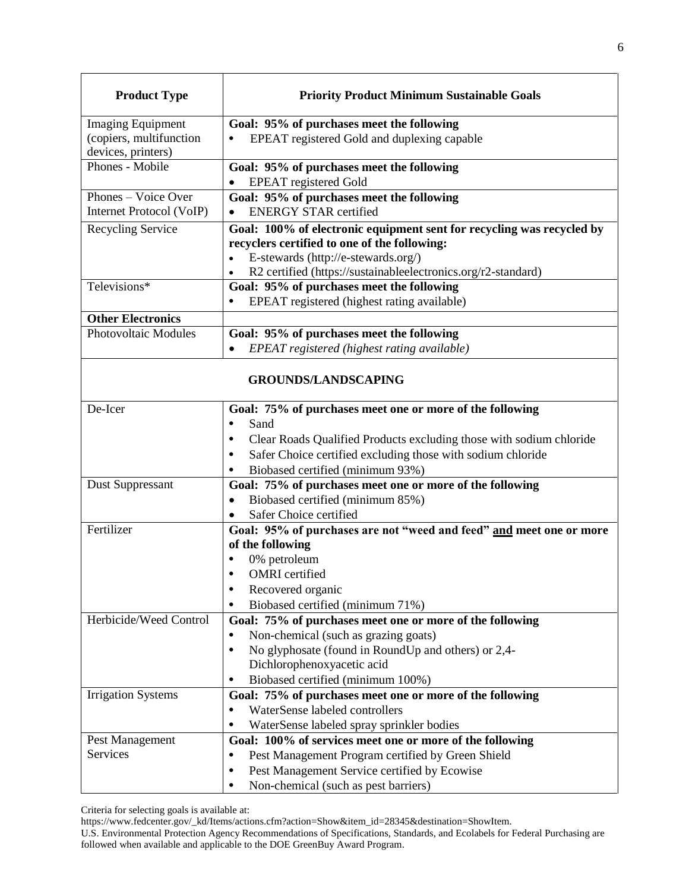| <b>Product Type</b>         | <b>Priority Product Minimum Sustainable Goals</b>                                 |
|-----------------------------|-----------------------------------------------------------------------------------|
| <b>Imaging Equipment</b>    | Goal: 95% of purchases meet the following                                         |
| (copiers, multifunction     | EPEAT registered Gold and duplexing capable                                       |
| devices, printers)          |                                                                                   |
| Phones - Mobile             | Goal: 95% of purchases meet the following<br><b>EPEAT</b> registered Gold         |
| Phones – Voice Over         | Goal: 95% of purchases meet the following                                         |
| Internet Protocol (VoIP)    | <b>ENERGY STAR certified</b>                                                      |
| Recycling Service           | Goal: 100% of electronic equipment sent for recycling was recycled by             |
|                             | recyclers certified to one of the following:                                      |
|                             | E-stewards (http://e-stewards.org/)                                               |
|                             | R2 certified (https://sustainableelectronics.org/r2-standard)                     |
| Televisions*                | Goal: 95% of purchases meet the following                                         |
|                             | EPEAT registered (highest rating available)                                       |
| <b>Other Electronics</b>    |                                                                                   |
| <b>Photovoltaic Modules</b> | Goal: 95% of purchases meet the following                                         |
|                             | EPEAT registered (highest rating available)                                       |
|                             | <b>GROUNDS/LANDSCAPING</b>                                                        |
| De-Icer                     | Goal: 75% of purchases meet one or more of the following                          |
|                             | Sand<br>$\bullet$                                                                 |
|                             | Clear Roads Qualified Products excluding those with sodium chloride<br>٠          |
|                             | Safer Choice certified excluding those with sodium chloride<br>$\bullet$          |
|                             | Biobased certified (minimum 93%)                                                  |
| <b>Dust Suppressant</b>     | Goal: 75% of purchases meet one or more of the following                          |
|                             | Biobased certified (minimum 85%)<br>$\bullet$                                     |
|                             | Safer Choice certified                                                            |
| Fertilizer                  | Goal: 95% of purchases are not "weed and feed" and meet one or more               |
|                             | of the following                                                                  |
|                             | 0% petroleum                                                                      |
|                             | <b>OMRI</b> certified                                                             |
|                             | Recovered organic<br>$\bullet$                                                    |
|                             | Biobased certified (minimum 71%)<br>٠                                             |
| Herbicide/Weed Control      | Goal: 75% of purchases meet one or more of the following<br>$\bullet$             |
|                             | Non-chemical (such as grazing goats)<br>$\bullet$                                 |
|                             | No glyphosate (found in RoundUp and others) or 2,4-<br>Dichlorophenoxyacetic acid |
|                             | Biobased certified (minimum 100%)<br>٠                                            |
| <b>Irrigation Systems</b>   | Goal: 75% of purchases meet one or more of the following                          |
|                             | WaterSense labeled controllers<br>$\bullet$                                       |
|                             | WaterSense labeled spray sprinkler bodies<br>$\bullet$                            |
| Pest Management             | Goal: 100% of services meet one or more of the following                          |
| Services                    | Pest Management Program certified by Green Shield<br>٠                            |
|                             | Pest Management Service certified by Ecowise<br>$\bullet$                         |
|                             | Non-chemical (such as pest barriers)<br>٠                                         |

[https://www.fedcenter.gov/\\_kd/Items/actions.cfm?action=Show&item\\_id=28345&destination=ShowItem.](https://www.fedcenter.gov/_kd/Items/actions.cfm?action=Show&item_id=28345&destination=ShowItem)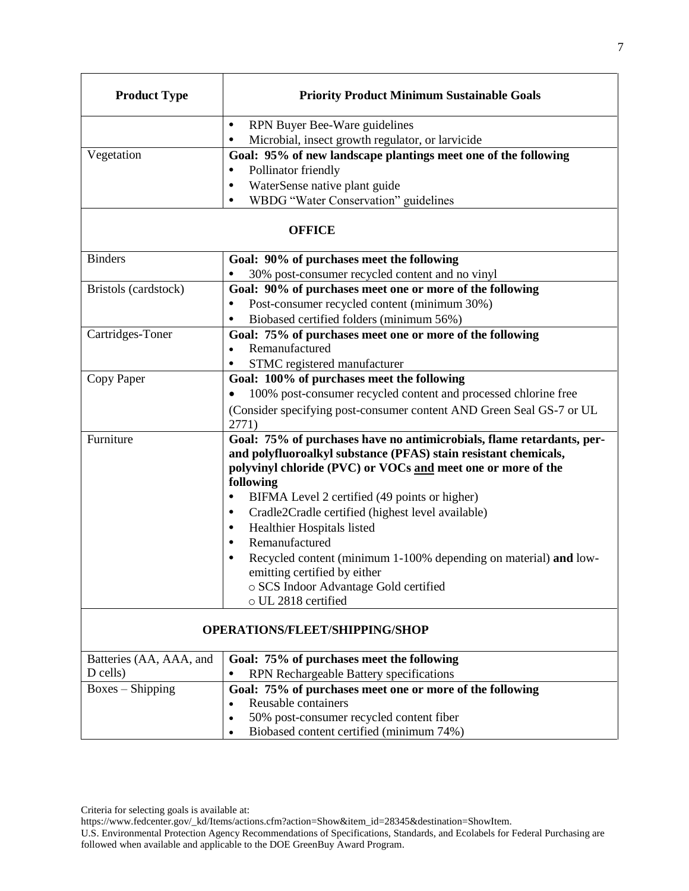| <b>Product Type</b>                   | <b>Priority Product Minimum Sustainable Goals</b>                                                                                                                                                                                                                                                                                                                                                                                                                                                                                                                                                |
|---------------------------------------|--------------------------------------------------------------------------------------------------------------------------------------------------------------------------------------------------------------------------------------------------------------------------------------------------------------------------------------------------------------------------------------------------------------------------------------------------------------------------------------------------------------------------------------------------------------------------------------------------|
|                                       | RPN Buyer Bee-Ware guidelines<br>$\bullet$                                                                                                                                                                                                                                                                                                                                                                                                                                                                                                                                                       |
|                                       | Microbial, insect growth regulator, or larvicide<br>$\bullet$                                                                                                                                                                                                                                                                                                                                                                                                                                                                                                                                    |
| Vegetation                            | Goal: 95% of new landscape plantings meet one of the following                                                                                                                                                                                                                                                                                                                                                                                                                                                                                                                                   |
|                                       | Pollinator friendly<br>$\bullet$                                                                                                                                                                                                                                                                                                                                                                                                                                                                                                                                                                 |
|                                       | WaterSense native plant guide<br>$\bullet$                                                                                                                                                                                                                                                                                                                                                                                                                                                                                                                                                       |
|                                       | WBDG "Water Conservation" guidelines<br>$\bullet$                                                                                                                                                                                                                                                                                                                                                                                                                                                                                                                                                |
|                                       | <b>OFFICE</b>                                                                                                                                                                                                                                                                                                                                                                                                                                                                                                                                                                                    |
| <b>Binders</b>                        | Goal: 90% of purchases meet the following                                                                                                                                                                                                                                                                                                                                                                                                                                                                                                                                                        |
|                                       | 30% post-consumer recycled content and no vinyl                                                                                                                                                                                                                                                                                                                                                                                                                                                                                                                                                  |
| Bristols (cardstock)                  | Goal: 90% of purchases meet one or more of the following                                                                                                                                                                                                                                                                                                                                                                                                                                                                                                                                         |
|                                       | Post-consumer recycled content (minimum 30%)                                                                                                                                                                                                                                                                                                                                                                                                                                                                                                                                                     |
|                                       | Biobased certified folders (minimum 56%)                                                                                                                                                                                                                                                                                                                                                                                                                                                                                                                                                         |
| Cartridges-Toner                      | Goal: 75% of purchases meet one or more of the following                                                                                                                                                                                                                                                                                                                                                                                                                                                                                                                                         |
|                                       | Remanufactured<br>$\bullet$                                                                                                                                                                                                                                                                                                                                                                                                                                                                                                                                                                      |
|                                       | STMC registered manufacturer                                                                                                                                                                                                                                                                                                                                                                                                                                                                                                                                                                     |
| Copy Paper                            | Goal: 100% of purchases meet the following                                                                                                                                                                                                                                                                                                                                                                                                                                                                                                                                                       |
|                                       | 100% post-consumer recycled content and processed chlorine free                                                                                                                                                                                                                                                                                                                                                                                                                                                                                                                                  |
|                                       | (Consider specifying post-consumer content AND Green Seal GS-7 or UL                                                                                                                                                                                                                                                                                                                                                                                                                                                                                                                             |
|                                       | 2771)                                                                                                                                                                                                                                                                                                                                                                                                                                                                                                                                                                                            |
| Furniture                             | Goal: 75% of purchases have no antimicrobials, flame retardants, per-<br>and polyfluoroalkyl substance (PFAS) stain resistant chemicals,<br>polyvinyl chloride (PVC) or VOCs and meet one or more of the<br>following<br>BIFMA Level 2 certified (49 points or higher)<br>$\bullet$<br>Cradle2Cradle certified (highest level available)<br>٠<br>Healthier Hospitals listed<br>٠<br>Remanufactured<br>$\bullet$<br>Recycled content (minimum 1-100% depending on material) and low-<br>$\bullet$<br>emitting certified by either<br>o SCS Indoor Advantage Gold certified<br>o UL 2818 certified |
| <b>OPERATIONS/FLEET/SHIPPING/SHOP</b> |                                                                                                                                                                                                                                                                                                                                                                                                                                                                                                                                                                                                  |
| Batteries (AA, AAA, and               | Goal: 75% of purchases meet the following                                                                                                                                                                                                                                                                                                                                                                                                                                                                                                                                                        |
| D cells)                              | RPN Rechargeable Battery specifications<br>$\bullet$                                                                                                                                                                                                                                                                                                                                                                                                                                                                                                                                             |
| $Boxes - Shipping$                    | Goal: 75% of purchases meet one or more of the following                                                                                                                                                                                                                                                                                                                                                                                                                                                                                                                                         |
|                                       | Reusable containers<br>$\bullet$                                                                                                                                                                                                                                                                                                                                                                                                                                                                                                                                                                 |
|                                       | 50% post-consumer recycled content fiber<br>$\bullet$                                                                                                                                                                                                                                                                                                                                                                                                                                                                                                                                            |
|                                       | Biobased content certified (minimum 74%)<br>$\bullet$                                                                                                                                                                                                                                                                                                                                                                                                                                                                                                                                            |

[https://www.fedcenter.gov/\\_kd/Items/actions.cfm?action=Show&item\\_id=28345&destination=ShowItem.](https://www.fedcenter.gov/_kd/Items/actions.cfm?action=Show&item_id=28345&destination=ShowItem)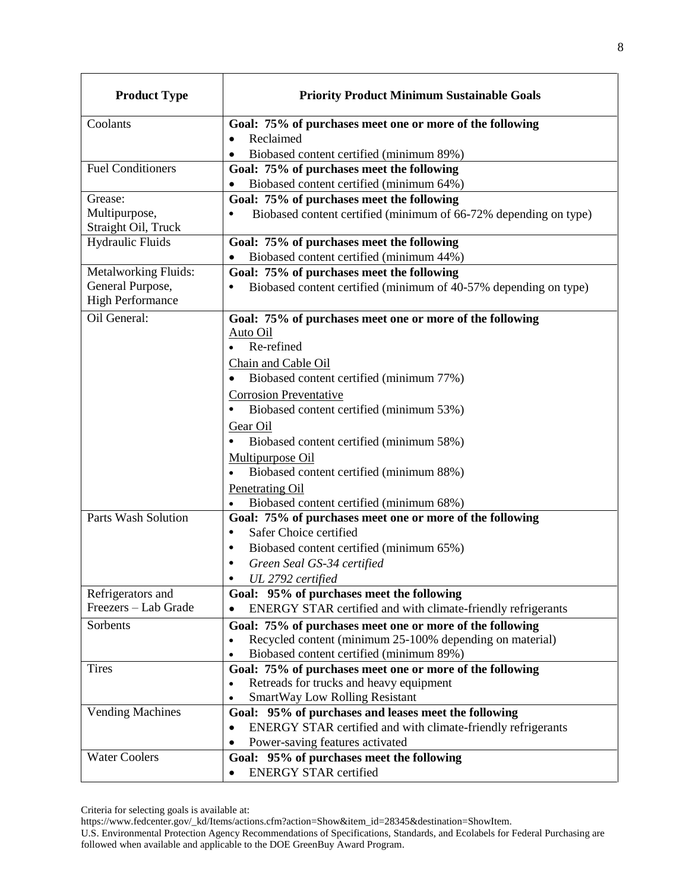| <b>Product Type</b>                  | <b>Priority Product Minimum Sustainable Goals</b>                            |
|--------------------------------------|------------------------------------------------------------------------------|
| Coolants                             | Goal: 75% of purchases meet one or more of the following                     |
|                                      | Reclaimed<br>$\bullet$                                                       |
|                                      | Biobased content certified (minimum 89%)                                     |
| <b>Fuel Conditioners</b>             | Goal: 75% of purchases meet the following                                    |
|                                      | Biobased content certified (minimum 64%)                                     |
| Grease:                              | Goal: 75% of purchases meet the following                                    |
| Multipurpose,<br>Straight Oil, Truck | Biobased content certified (minimum of 66-72% depending on type)<br>٠        |
| <b>Hydraulic Fluids</b>              | Goal: 75% of purchases meet the following                                    |
|                                      | Biobased content certified (minimum 44%)                                     |
| Metalworking Fluids:                 | Goal: 75% of purchases meet the following                                    |
| General Purpose,                     | Biobased content certified (minimum of 40-57% depending on type)             |
| <b>High Performance</b>              |                                                                              |
| Oil General:                         | Goal: 75% of purchases meet one or more of the following                     |
|                                      | Auto Oil                                                                     |
|                                      | Re-refined                                                                   |
|                                      | Chain and Cable Oil                                                          |
|                                      | Biobased content certified (minimum 77%)                                     |
|                                      | <b>Corrosion Preventative</b>                                                |
|                                      | Biobased content certified (minimum 53%)<br>$\bullet$                        |
|                                      | Gear Oil                                                                     |
|                                      | Biobased content certified (minimum 58%)                                     |
|                                      | Multipurpose Oil                                                             |
|                                      | Biobased content certified (minimum 88%)                                     |
|                                      | <b>Penetrating Oil</b>                                                       |
|                                      | Biobased content certified (minimum 68%)                                     |
| <b>Parts Wash Solution</b>           | Goal: 75% of purchases meet one or more of the following                     |
|                                      | Safer Choice certified<br>$\bullet$                                          |
|                                      | Biobased content certified (minimum 65%)<br>٠                                |
|                                      | Green Seal GS-34 certified<br>٠                                              |
|                                      | UL 2792 certified                                                            |
| Refrigerators and                    | Goal: 95% of purchases meet the following                                    |
| Freezers - Lab Grade                 | ENERGY STAR certified and with climate-friendly refrigerants                 |
| Sorbents                             | Goal: 75% of purchases meet one or more of the following                     |
|                                      | Recycled content (minimum 25-100% depending on material)<br>٠                |
|                                      | Biobased content certified (minimum 89%)                                     |
| <b>Tires</b>                         | Goal: 75% of purchases meet one or more of the following                     |
|                                      | Retreads for trucks and heavy equipment                                      |
|                                      | <b>SmartWay Low Rolling Resistant</b>                                        |
| <b>Vending Machines</b>              | Goal: 95% of purchases and leases meet the following                         |
|                                      | ENERGY STAR certified and with climate-friendly refrigerants<br>$\bullet$    |
| <b>Water Coolers</b>                 | Power-saving features activated<br>Goal: 95% of purchases meet the following |
|                                      | <b>ENERGY STAR certified</b><br>$\bullet$                                    |

[https://www.fedcenter.gov/\\_kd/Items/actions.cfm?action=Show&item\\_id=28345&destination=ShowItem.](https://www.fedcenter.gov/_kd/Items/actions.cfm?action=Show&item_id=28345&destination=ShowItem)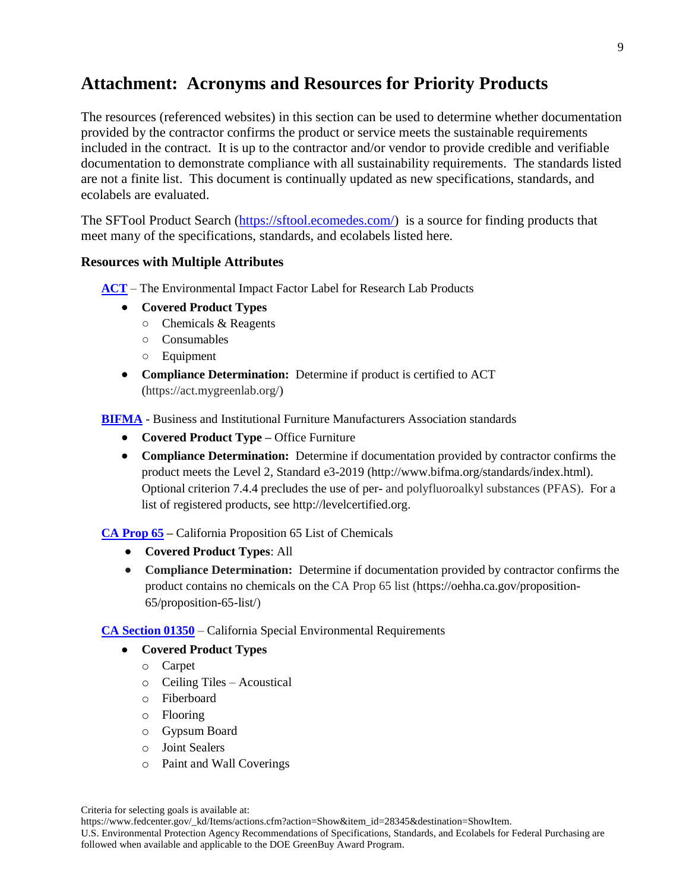## **Attachment: Acronyms and Resources for Priority Products**

The resources (referenced websites) in this section can be used to determine whether documentation provided by the contractor confirms the product or service meets the sustainable requirements included in the contract. It is up to the contractor and/or vendor to provide credible and verifiable documentation to demonstrate compliance with all sustainability requirements. The standards listed are not a finite list. This document is continually updated as new specifications, standards, and ecolabels are evaluated.

The SFTool Product Search [\(https://sftool.ecomedes.com/\)](https://sftool.ecomedes.com/) is a source for finding products that meet many of the specifications, standards, and ecolabels listed here.

#### **Resources with Multiple Attributes**

- **ACT** The Environmental Impact Factor Label for Research Lab Products
	- **Covered Product Types**
		- Chemicals & Reagents
		- Consumables
		- Equipment
	- **Compliance Determination:** Determine if product is certified to ACT (https://act.mygreenlab.org/)

**BIFMA** - Business and Institutional Furniture Manufacturers Association standards

- **Covered Product Type –** Office Furniture
- **Compliance Determination:** Determine if documentation provided by contractor confirms the product meets the Level 2, Standard e3-2019 [\(http://www.bifma.org/standards/index.html\)](http://www.bifma.org/standards/index.html). Optional criterion 7.4.4 precludes the use of per- and polyfluoroalkyl substances (PFAS). For a list of registered products, see [http://levelcertified.org.](http://levelcertified.org/)

**CA Prop 65 –** California Proposition 65 List of Chemicals

- **Covered Product Types**: All
- **Compliance Determination:** Determine if documentation provided by contractor confirms the product contains no chemicals on the CA Prop 65 list (https://oehha.ca.gov/proposition-65/proposition-65-list/)

**CA Section 01350** – California Special Environmental Requirements

- **Covered Product Types** 
	- o Carpet
	- o Ceiling Tiles Acoustical
	- o Fiberboard
	- o Flooring
	- o Gypsum Board
	- o Joint Sealers
	- o Paint and Wall Coverings

Criteria for selecting goals is available at:

[https://www.fedcenter.gov/\\_kd/Items/actions.cfm?action=Show&item\\_id=28345&destination=ShowItem.](https://www.fedcenter.gov/_kd/Items/actions.cfm?action=Show&item_id=28345&destination=ShowItem)

U.S. Environmental Protection Agency Recommendations of Specifications, Standards, and Ecolabels for Federal Purchasing are followed when available and applicable to the DOE GreenBuy Award Program.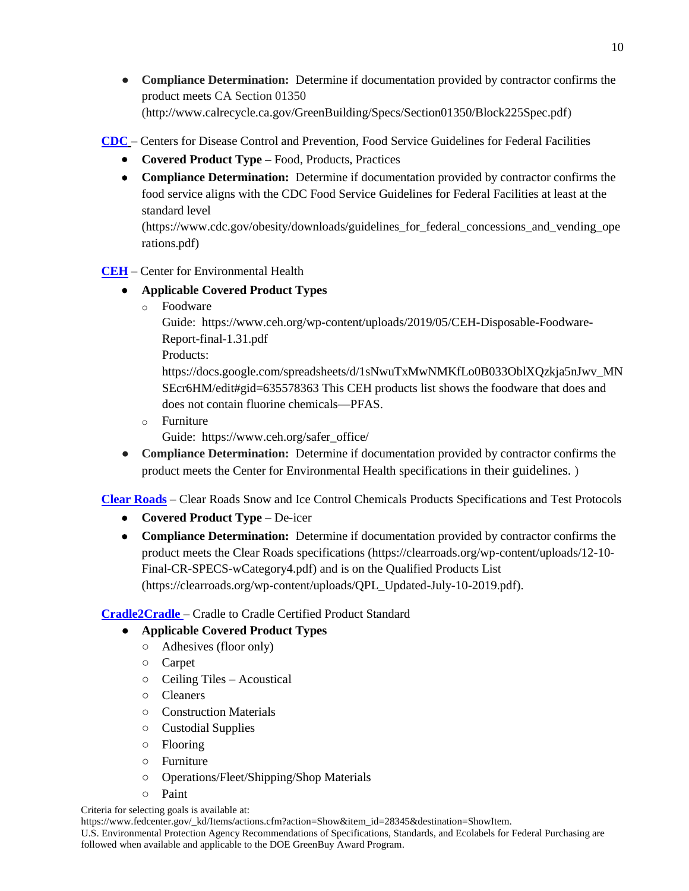• **Compliance Determination:** Determine if documentation provided by contractor confirms the product meets CA Section 01350 [\(http://www.calrecycle.ca.gov/GreenBuilding/Specs/Section01350/Block225Spec.pdf\)](http://www.calrecycle.ca.gov/GreenBuilding/Specs/Section01350/Block225Spec.pdf)

**CDC** – Centers for Disease Control and Prevention, Food Service Guidelines for Federal Facilities

- **Covered Product Type –** Food, Products, Practices
- **Compliance Determination:** Determine if documentation provided by contractor confirms the food service aligns with the CDC Food Service Guidelines for Federal Facilities at least at the standard level

(https://www.cdc.gov/obesity/downloads/guidelines\_for\_federal\_concessions\_and\_vending\_ope rations.pdf)

- **CEH** Center for Environmental Health
	- **Applicable Covered Product Types**
		- o Foodware

Guide: [https://www.ceh.org/wp-content/uploads/2019/05/CEH-Disposable-Foodware-](https://www.ceh.org/wp-content/uploads/2019/05/CEH-Disposable-Foodware-Report-final-1.31.pdf)[Report-final-1.31.pdf](https://www.ceh.org/wp-content/uploads/2019/05/CEH-Disposable-Foodware-Report-final-1.31.pdf)

Products:

[https://docs.google.com/spreadsheets/d/1sNwuTxMwNMKfLo0B033OblXQzkja5nJwv\\_MN](https://docs.google.com/spreadsheets/d/1sNwuTxMwNMKfLo0B033OblXQzkja5nJwv_MNSEcr6HM/edit#gid=635578363) [SEcr6HM/edit#gid=635578363](https://docs.google.com/spreadsheets/d/1sNwuTxMwNMKfLo0B033OblXQzkja5nJwv_MNSEcr6HM/edit#gid=635578363) This CEH products list shows the foodware that does and does not contain fluorine chemicals—PFAS.

o Furniture

Guide: https://www.ceh.org/safer\_office/

● **Compliance Determination:** Determine if documentation provided by contractor confirms the product meets the Center for Environmental Health specifications in their guidelines. )

**Clear Roads** – Clear Roads Snow and Ice Control Chemicals Products Specifications and Test Protocols

- **Covered Product Type –** De-icer
- **Compliance Determination:** Determine if documentation provided by contractor confirms the product meets the Clear Roads specifications (https://clearroads.org/wp-content/uploads/12-10- Final-CR-SPECS-wCategory4.pdf) and is on the Qualified Products List (https://clearroads.org/wp-content/uploads/QPL\_Updated-July-10-2019.pdf).

**Cradle2Cradle** – Cradle to Cradle Certified Product Standard

## ● **Applicable Covered Product Types**

- Adhesives (floor only)
- Carpet
- Ceiling Tiles Acoustical
- Cleaners
- Construction Materials
- Custodial Supplies
- Flooring
- Furniture
- Operations/Fleet/Shipping/Shop Materials
- Paint

Criteria for selecting goals is available at:

[https://www.fedcenter.gov/\\_kd/Items/actions.cfm?action=Show&item\\_id=28345&destination=ShowItem.](https://www.fedcenter.gov/_kd/Items/actions.cfm?action=Show&item_id=28345&destination=ShowItem)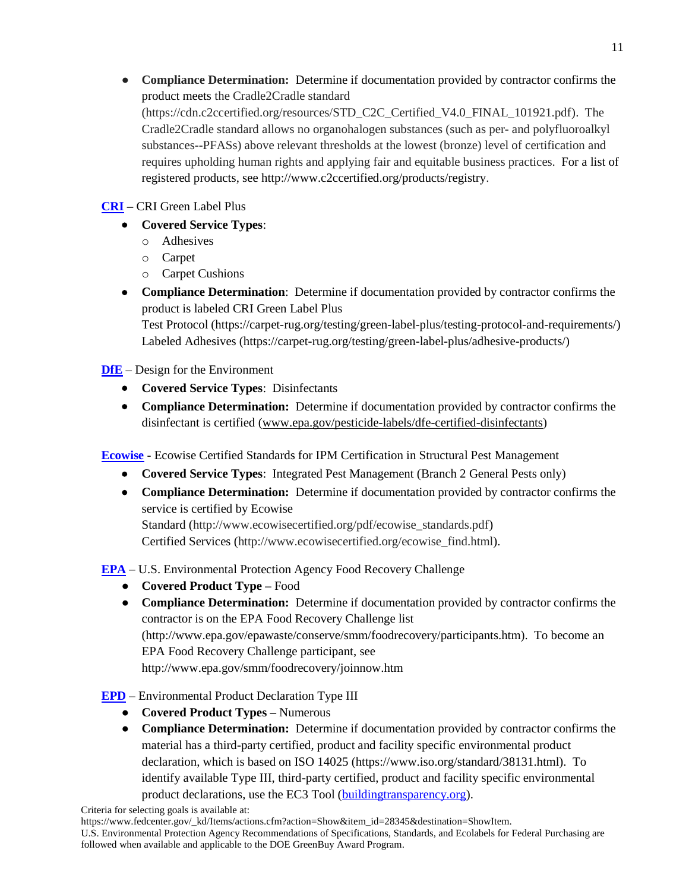• **Compliance Determination:** Determine if documentation provided by contractor confirms the product meets the Cradle2Cradle standard (https://cdn.c2ccertified.org/resources/STD\_C2C\_Certified\_V4.0\_FINAL\_101921.pdf). The Cradle2Cradle standard allows no organohalogen substances (such as per- and polyfluoroalkyl substances--PFASs) above relevant thresholds at the lowest (bronze) level of certification and requires upholding human rights and applying fair and equitable business practices. For a list of registered products, see http://www.c2ccertified.org/products/registry.

## **CRI –** CRI Green Label Plus

- **Covered Service Types**:
	- o Adhesives
	- o Carpet
	- o Carpet Cushions
- **Compliance Determination**: Determine if documentation provided by contractor confirms the product is labeled CRI Green Label Plus

Test Protocol (https://carpet-rug.org/testing/green-label-plus/testing-protocol-and-requirements/) Labeled Adhesives (https://carpet-rug.org/testing/green-label-plus/adhesive-products/)

**DfE** – Design for the Environment

- **Covered Service Types**: Disinfectants
- **Compliance Determination:** Determine if documentation provided by contractor confirms the disinfectant is certified [\(www.epa.gov/pesticide-labels/dfe-certified-disinfectants\)](http://www.epa.gov/pesticide-labels/dfe-certified-disinfectants)

**Ecowise** - Ecowise Certified Standards for IPM Certification in Structural Pest Management

- **Covered Service Types**: Integrated Pest Management (Branch 2 General Pests only)
- **Compliance Determination:** Determine if documentation provided by contractor confirms the service is certified by Ecowise

Standard (http://www.ecowisecertified.org/pdf/ecowise\_standards.pdf) Certified Services (http://www.ecowisecertified.org/ecowise\_find.html).

**EPA** – U.S. Environmental Protection Agency Food Recovery Challenge

- **Covered Product Type –** Food
- **Compliance Determination:** Determine if documentation provided by contractor confirms the contractor is on the EPA Food Recovery Challenge list (http://www.epa.gov/epawaste/conserve/smm/foodrecovery/participants.htm). To become an EPA Food Recovery Challenge participant, see http://www.epa.gov/smm/foodrecovery/joinnow.htm
- **EPD** Environmental Product Declaration Type III
	- **Covered Product Types –** Numerous
	- **Compliance Determination:** Determine if documentation provided by contractor confirms the material has a third-party certified, product and facility specific environmental product declaration, which is based on ISO 14025 (https://www.iso.org/standard/38131.html). To identify available Type III, third-party certified, product and facility specific environmental product declarations, use the EC3 Tool [\(buildingtransparency.org\)](http://buildingtransparency.org/).

[https://www.fedcenter.gov/\\_kd/Items/actions.cfm?action=Show&item\\_id=28345&destination=ShowItem.](https://www.fedcenter.gov/_kd/Items/actions.cfm?action=Show&item_id=28345&destination=ShowItem)

U.S. Environmental Protection Agency Recommendations of Specifications, Standards, and Ecolabels for Federal Purchasing are followed when available and applicable to the DOE GreenBuy Award Program.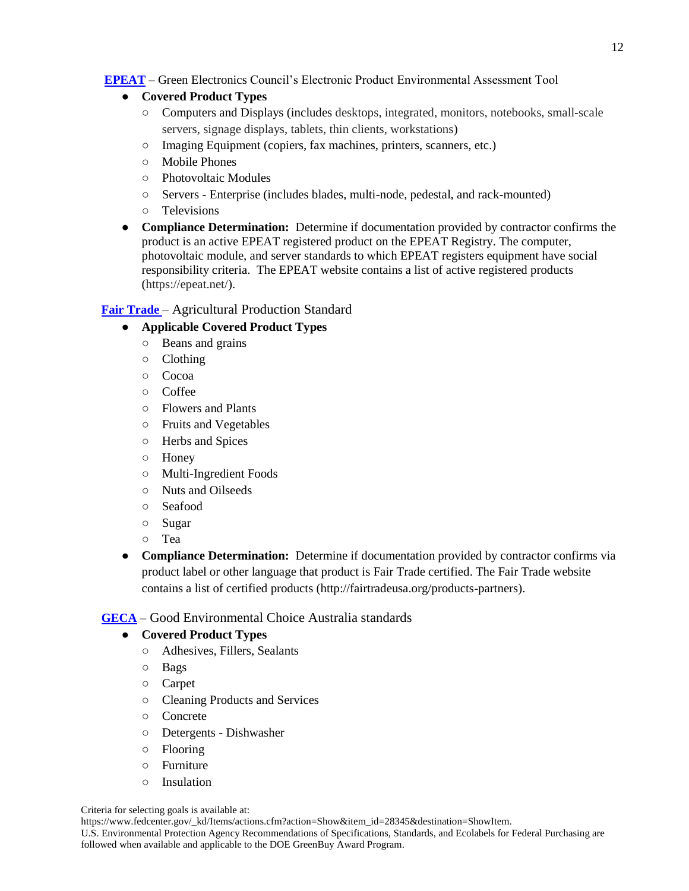**EPEAT** – Green Electronics Council's Electronic Product Environmental Assessment Tool

- **Covered Product Types**
	- Computers and Displays (includes desktops, integrated, monitors, notebooks, small-scale servers, signage displays, tablets, thin clients, workstations)
	- Imaging Equipment (copiers, fax machines, printers, scanners, etc.)
	- Mobile Phones
	- Photovoltaic Modules
	- Servers Enterprise (includes blades, multi-node, pedestal, and rack-mounted)
	- Televisions
- **Compliance Determination:** Determine if documentation provided by contractor confirms the product is an active EPEAT registered product on the EPEAT Registry. The computer, photovoltaic module, and server standards to which EPEAT registers equipment have social responsibility criteria. The EPEAT website contains a list of active registered products (https://epeat.net/).

## **Fair Trade** – Agricultural Production Standard

## ● **Applicable Covered Product Types**

- Beans and grains
- Clothing
- Cocoa
- Coffee
- Flowers and Plants
- Fruits and Vegetables
- Herbs and Spices
- Honey
- Multi-Ingredient Foods
- Nuts and Oilseeds
- Seafood
- Sugar
- Tea
- **Compliance Determination:** Determine if documentation provided by contractor confirms via product label or other language that product is Fair Trade certified. The Fair Trade website contains a list of certified products (http://fairtradeusa.org/products-partners).

## **GECA** – Good Environmental Choice Australia standards

## ● **Covered Product Types**

- Adhesives, Fillers, Sealants
- Bags
- Carpet
- Cleaning Products and Services
- Concrete
- Detergents Dishwasher
- Flooring
- Furniture
- Insulation

#### Criteria for selecting goals is available at:

[https://www.fedcenter.gov/\\_kd/Items/actions.cfm?action=Show&item\\_id=28345&destination=ShowItem.](https://www.fedcenter.gov/_kd/Items/actions.cfm?action=Show&item_id=28345&destination=ShowItem)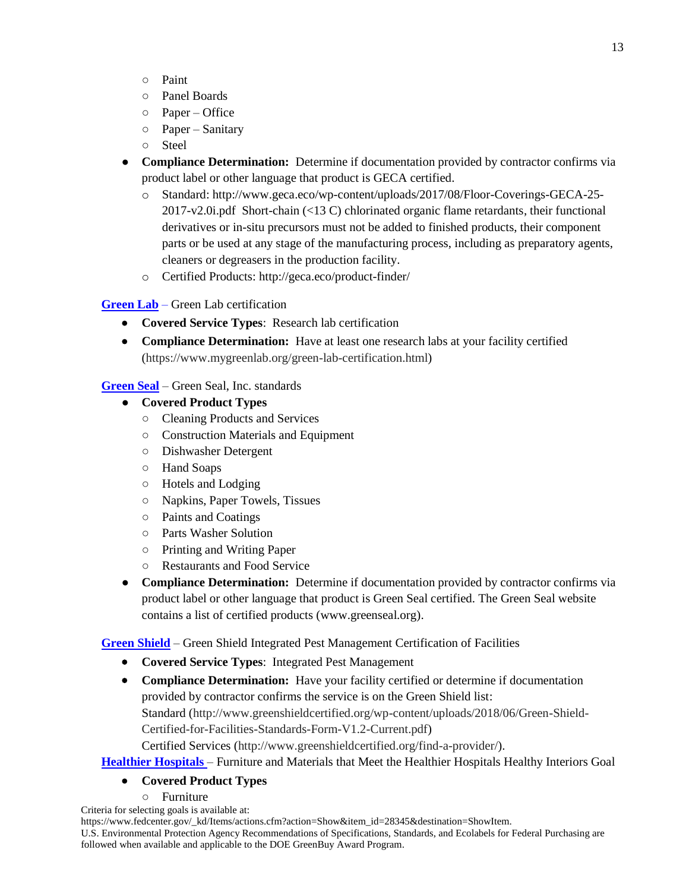- Paint
- Panel Boards
- Paper Office
- Paper Sanitary
- Steel
- **Compliance Determination:** Determine if documentation provided by contractor confirms via product label or other language that product is GECA certified.
	- o Standard: http://www.geca.eco/wp-content/uploads/2017/08/Floor-Coverings-GECA-25- 2017-v2.0i.pdf Short-chain (<13 C) chlorinated organic flame retardants, their functional derivatives or in-situ precursors must not be added to finished products, their component parts or be used at any stage of the manufacturing process, including as preparatory agents, cleaners or degreasers in the production facility.
	- o Certified Products: http://geca.eco/product-finder/

## **Green Lab** – Green Lab certification

- **Covered Service Types**: Research lab certification
- **Compliance Determination:** Have at least one research labs at your facility certified (https://www.mygreenlab.org/green-lab-certification.html)

**Green Seal** – Green Seal, Inc. standards

- **Covered Product Types**
	- Cleaning Products and Services
	- Construction Materials and Equipment
	- Dishwasher Detergent
	- Hand Soaps
	- Hotels and Lodging
	- Napkins, Paper Towels, Tissues
	- Paints and Coatings
	- Parts Washer Solution
	- Printing and Writing Paper
	- Restaurants and Food Service
- **Compliance Determination:** Determine if documentation provided by contractor confirms via product label or other language that product is Green Seal certified. The Green Seal website contains a list of certified products [\(www.greenseal.org\)](http://www.greenseal.org/).

**Green Shield** – Green Shield Integrated Pest Management Certification of Facilities

- **Covered Service Types**: Integrated Pest Management
- **Compliance Determination:** Have your facility certified or determine if documentation provided by contractor confirms the service is on the Green Shield list: Standard (http://www.greenshieldcertified.org/wp-content/uploads/2018/06/Green-Shield-Certified-for-Facilities-Standards-Form-V1.2-Current.pdf)

Certified Services (http://www.greenshieldcertified.org/find-a-provider/).

## **Healthier Hospitals** – Furniture and Materials that Meet the Healthier Hospitals Healthy Interiors Goal

## **Covered Product Types**

- Furniture
- Criteria for selecting goals is available at:

[https://www.fedcenter.gov/\\_kd/Items/actions.cfm?action=Show&item\\_id=28345&destination=ShowItem.](https://www.fedcenter.gov/_kd/Items/actions.cfm?action=Show&item_id=28345&destination=ShowItem)

U.S. Environmental Protection Agency Recommendations of Specifications, Standards, and Ecolabels for Federal Purchasing are followed when available and applicable to the DOE GreenBuy Award Program.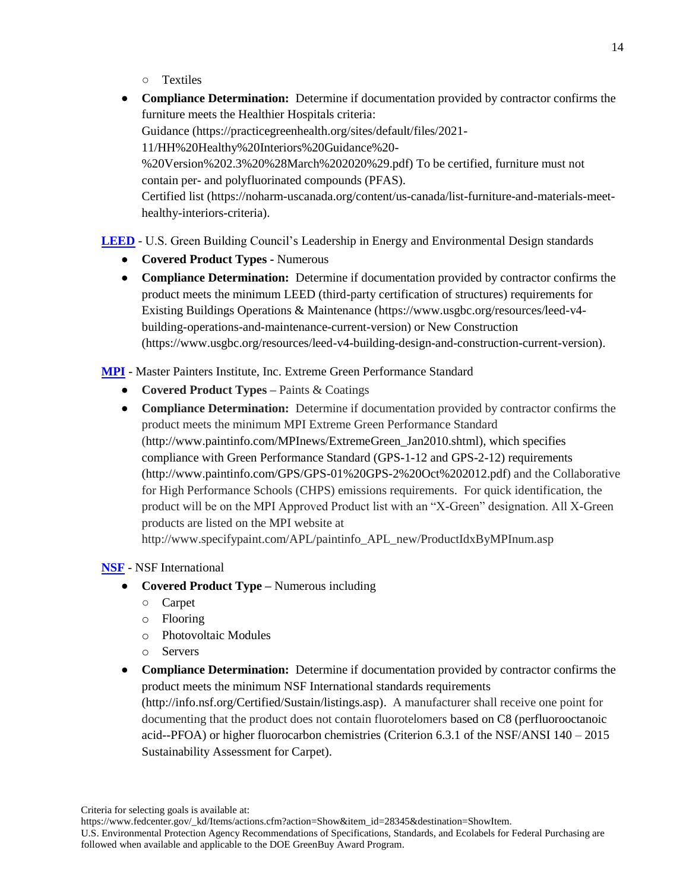- Textiles
- **Compliance Determination:** Determine if documentation provided by contractor confirms the furniture meets the Healthier Hospitals criteria: Guidance (https://practicegreenhealth.org/sites/default/files/2021- 11/HH%20Healthy%20Interiors%20Guidance%20- %20Version%202.3%20%28March%202020%29.pdf) To be certified, furniture must not contain per- and polyfluorinated compounds (PFAS). Certified list (https://noharm-uscanada.org/content/us-canada/list-furniture-and-materials-meethealthy-interiors-criteria).

## **LEED** - U.S. Green Building Council's Leadership in Energy and Environmental Design standards

- **Covered Product Types -** Numerous
- **Compliance Determination:** Determine if documentation provided by contractor confirms the product meets the minimum LEED (third-party certification of structures) requirements for Existing Buildings Operations & Maintenance (https://www.usgbc.org/resources/leed-v4 building-operations-and-maintenance-current-version) or New Construction (https://www.usgbc.org/resources/leed-v4-building-design-and-construction-current-version).

**MPI** - Master Painters Institute, Inc. Extreme Green Performance Standard

- **Covered Product Types –** Paints & Coatings
- **Compliance Determination:** Determine if documentation provided by contractor confirms the product meets the minimum MPI Extreme Green Performance Standard [\(http://www.paintinfo.com/MPInews/ExtremeGreen\\_Jan2010.shtml\)](http://www.paintinfo.com/MPInews/ExtremeGreen_Jan2010.shtml), which specifies compliance with Green Performance Standard (GPS-1-12 and GPS-2-12) requirements [\(http://www.paintinfo.com/GPS/GPS-01%20GPS-2%20Oct%202012.pdf\)](http://www.paintinfo.com/GPS/GPS-01%20GPS-2%20Oct%202012.pdf) and the Collaborative for High Performance Schools (CHPS) emissions requirements. For quick identification, the product will be on the MPI Approved Product list with an "X-Green" designation. All X-Green products are listed on the MPI website at http://www.specifypaint.com/APL/paintinfo\_APL\_new/ProductIdxByMPInum.asp

**NSF** - NSF International

- **Covered Product Type –** Numerous including
	- Carpet
	- o Flooring
	- o Photovoltaic Modules
	- o Servers
- **Compliance Determination:** Determine if documentation provided by contractor confirms the product meets the minimum NSF International standards requirements (http://info.nsf.org/Certified/Sustain/listings.asp). A manufacturer shall receive one point for documenting that the product does not contain fluorotelomers based on C8 (perfluorooctanoic acid--PFOA) or higher fluorocarbon chemistries (Criterion 6.3.1 of the NSF/ANSI 140 – 2015 Sustainability Assessment for Carpet).

Criteria for selecting goals is available at:

[https://www.fedcenter.gov/\\_kd/Items/actions.cfm?action=Show&item\\_id=28345&destination=ShowItem.](https://www.fedcenter.gov/_kd/Items/actions.cfm?action=Show&item_id=28345&destination=ShowItem)

U.S. Environmental Protection Agency Recommendations of Specifications, Standards, and Ecolabels for Federal Purchasing are followed when available and applicable to the DOE GreenBuy Award Program.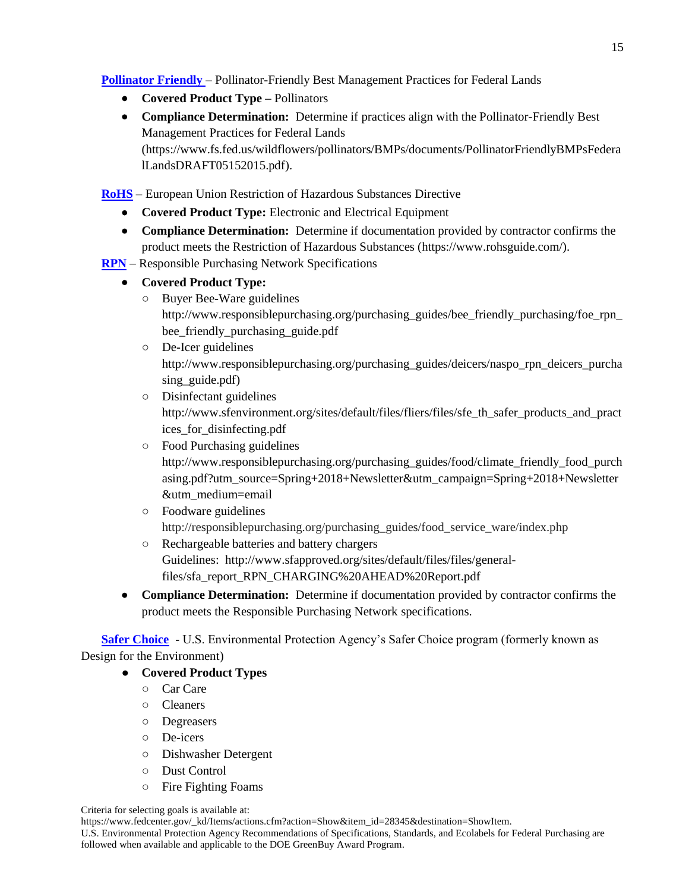**Pollinator Friendly** – Pollinator-Friendly Best Management Practices for Federal Lands

- **Covered Product Type –** Pollinators
- **Compliance Determination:** Determine if practices align with the Pollinator-Friendly Best Management Practices for Federal Lands (https://www.fs.fed.us/wildflowers/pollinators/BMPs/documents/PollinatorFriendlyBMPsFedera lLandsDRAFT05152015.pdf).

**RoHS** – European Union Restriction of Hazardous Substances Directive

- **Covered Product Type:** Electronic and Electrical Equipment
- **Compliance Determination:** Determine if documentation provided by contractor confirms the product meets the Restriction of Hazardous Substances (https://www.rohsguide.com/).
- **RPN** Responsible Purchasing Network Specifications
	- **Covered Product Type:** 
		- Buyer Bee-Ware guidelines http://www.responsiblepurchasing.org/purchasing\_guides/bee\_friendly\_purchasing/foe\_rpn\_ bee\_friendly\_purchasing\_guide.pdf
		- De-Icer guidelines [http://www.responsiblepurchasing.org/purchasing\\_guides/deicers/naspo\\_rpn\\_deicers\\_purcha](http://www.responsiblepurchasing.org/purchasing_guides/deicers/naspo_rpn_deicers_purchasing_guide.pdf) sing guide.pdf)
		- Disinfectant guidelines [http://www.sfenvironment.org/sites/default/files/fliers/files/sfe\\_th\\_safer\\_products\\_and\\_pract](http://www.sfenvironment.org/sites/default/files/fliers/files/sfe_th_safer_products_and_practices_for_disinfecting.pdf) [ices\\_for\\_disinfecting.pdf](http://www.sfenvironment.org/sites/default/files/fliers/files/sfe_th_safer_products_and_practices_for_disinfecting.pdf)
		- Food Purchasing guidelines http://www.responsiblepurchasing.org/purchasing\_guides/food/climate\_friendly\_food\_purch asing.pdf?utm\_source=Spring+2018+Newsletter&utm\_campaign=Spring+2018+Newsletter &utm\_medium=email
		- Foodware guidelines http://responsiblepurchasing.org/purchasing\_guides/food\_service\_ware/index.php
		- Rechargeable batteries and battery chargers Guidelines: [http://www.sfapproved.org/sites/default/files/files/general](http://www.sfapproved.org/sites/default/files/files/general-files/sfa_report_RPN_CHARGING%20AHEAD%20Report.pdf)[files/sfa\\_report\\_RPN\\_CHARGING%20AHEAD%20Report.pdf](http://www.sfapproved.org/sites/default/files/files/general-files/sfa_report_RPN_CHARGING%20AHEAD%20Report.pdf)
	- **Compliance Determination:** Determine if documentation provided by contractor confirms the product meets the Responsible Purchasing Network specifications.

**[Safer Choice](http://energy.gov/eere/femp/covered-product-categories)** - U.S. Environmental Protection Agency's Safer Choice program (formerly known as Design for the Environment)

- **Covered Product Types**
	- Car Care
	- Cleaners
	- Degreasers
	- De-icers
	- Dishwasher Detergent
	- Dust Control
	- Fire Fighting Foams

Criteria for selecting goals is available at:

[https://www.fedcenter.gov/\\_kd/Items/actions.cfm?action=Show&item\\_id=28345&destination=ShowItem.](https://www.fedcenter.gov/_kd/Items/actions.cfm?action=Show&item_id=28345&destination=ShowItem)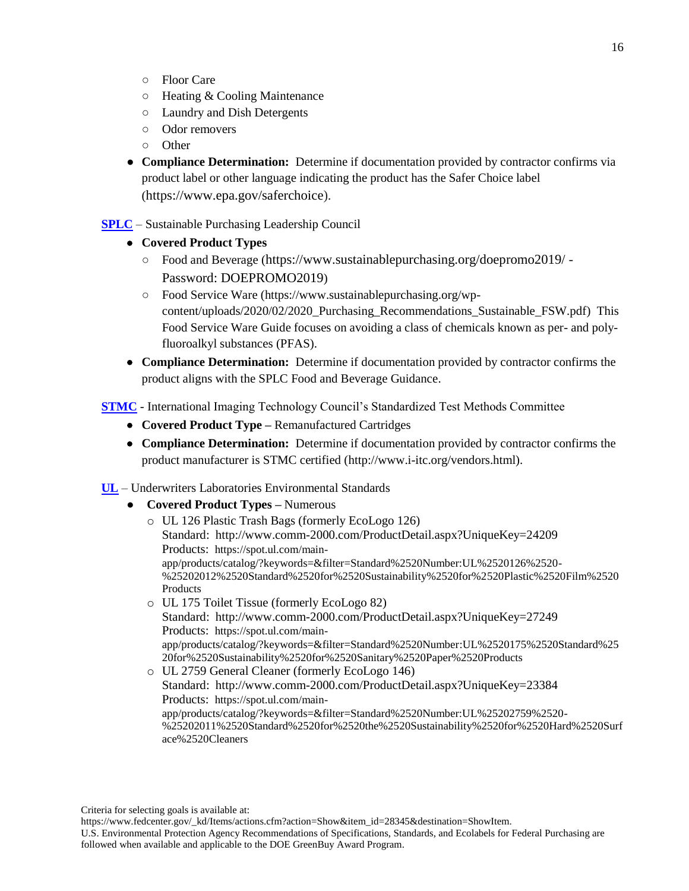- Floor Care
- Heating & Cooling Maintenance
- Laundry and Dish Detergents
- Odor removers
- Other
- **Compliance Determination:** Determine if documentation provided by contractor confirms via product label or other language indicating the product has the Safer Choice label (https://www.epa.gov/saferchoice).
- **SPLC** Sustainable Purchasing Leadership Council
	- **Covered Product Types**
		- Food and Beverage (https://www.sustainablepurchasing.org/doepromo2019/ Password: DOEPROMO2019)
		- Food Service Ware (https://www.sustainablepurchasing.org/wpcontent/uploads/2020/02/2020\_Purchasing\_Recommendations\_Sustainable\_FSW.pdf) This Food Service Ware Guide focuses on avoiding a class of chemicals known as per- and polyfluoroalkyl substances (PFAS).
	- **Compliance Determination:** Determine if documentation provided by contractor confirms the product aligns with the SPLC Food and Beverage Guidance.

**STMC** - International Imaging Technology Council's Standardized Test Methods Committee

- **Covered Product Type –** Remanufactured Cartridges
- **Compliance Determination:** Determine if documentation provided by contractor confirms the product manufacturer is STMC certified [\(http://www.i-itc.org/vendors.html\)](http://www.i-itc.org/vendors.html).

**UL** – Underwriters Laboratories Environmental Standards

● **Covered Product Types –** Numerous

| o UL 126 Plastic Trash Bags (formerly EcoLogo 126)                                    |
|---------------------------------------------------------------------------------------|
| Standard: http://www.comm-2000.com/ProductDetail.aspx?UniqueKey=24209                 |
| Products: https://spot.ul.com/main-                                                   |
| app/products/catalog/?keywords=&filter=Standard%2520Number:UL%2520126%2520-           |
| %25202012%2520Standard%2520for%2520Sustainability%2520for%2520Plastic%2520Film%2520   |
| Products                                                                              |
| o UL 175 Toilet Tissue (formerly EcoLogo 82)                                          |
| Standard: http://www.comm-2000.com/ProductDetail.aspx?UniqueKey=27249                 |
| Products: https://spot.ul.com/main-                                                   |
| app/products/catalog/?keywords=&filter=Standard%2520Number:UL%2520175%2520Standard%25 |
| 20for%2520Sustainability%2520for%2520Sanitary%2520Paper%2520Products                  |
| o UL 2759 General Cleaner (formerly EcoLogo 146)                                      |
| Standard: http://www.comm-2000.com/ProductDetail.aspx?UniqueKey=23384                 |
| Products: https://spot.ul.com/main-                                                   |
| app/products/catalog/?keywords=&filter=Standard%2520Number:UL%25202759%2520-          |
| %25202011%2520Standard%2520for%2520the%2520Sustainability%2520for%2520Hard%2520Surf   |

Criteria for selecting goals is available at:

[ace%2520Cleaners](https://spot.ul.com/main-app/products/catalog/?keywords=&filter=Standard%2520Number:UL%25202759%2520-%25202011%2520Standard%2520for%2520the%2520Sustainability%2520for%2520Hard%2520Surface%2520Cleaners)

[https://www.fedcenter.gov/\\_kd/Items/actions.cfm?action=Show&item\\_id=28345&destination=ShowItem.](https://www.fedcenter.gov/_kd/Items/actions.cfm?action=Show&item_id=28345&destination=ShowItem)

U.S. Environmental Protection Agency Recommendations of Specifications, Standards, and Ecolabels for Federal Purchasing are followed when available and applicable to the DOE GreenBuy Award Program.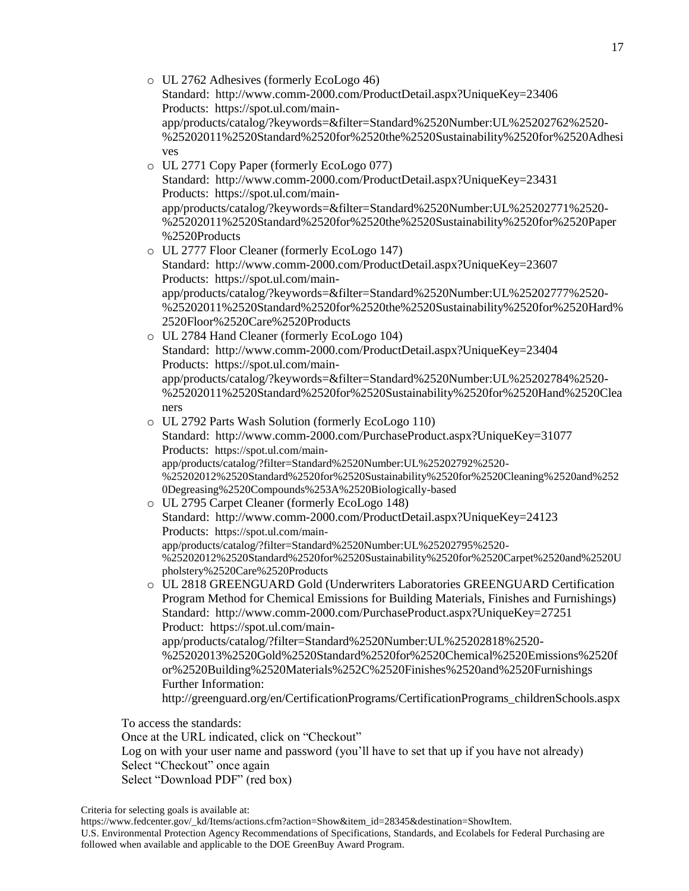o UL 2762 Adhesives (formerly EcoLogo 46) Standard: <http://www.comm-2000.com/ProductDetail.aspx?UniqueKey=23406> Products: [https://spot.ul.com/main](https://spot.ul.com/main-app/products/catalog/?keywords=&filter=Standard%2520Number:UL%25202762%2520-%25202011%2520Standard%2520for%2520the%2520Sustainability%2520for%2520Adhesives)[app/products/catalog/?keywords=&filter=Standard%2520Number:UL%25202762%2520-](https://spot.ul.com/main-app/products/catalog/?keywords=&filter=Standard%2520Number:UL%25202762%2520-%25202011%2520Standard%2520for%2520the%2520Sustainability%2520for%2520Adhesives) [%25202011%2520Standard%2520for%2520the%2520Sustainability%2520for%2520Adhesi](https://spot.ul.com/main-app/products/catalog/?keywords=&filter=Standard%2520Number:UL%25202762%2520-%25202011%2520Standard%2520for%2520the%2520Sustainability%2520for%2520Adhesives) [ves](https://spot.ul.com/main-app/products/catalog/?keywords=&filter=Standard%2520Number:UL%25202762%2520-%25202011%2520Standard%2520for%2520the%2520Sustainability%2520for%2520Adhesives) o UL 2771 Copy Paper (formerly EcoLogo 077) Standard: <http://www.comm-2000.com/ProductDetail.aspx?UniqueKey=23431> Products: [https://spot.ul.com/main](https://spot.ul.com/main-app/products/catalog/?keywords=&filter=Standard%2520Number:UL%25202771%2520-%25202011%2520Standard%2520for%2520the%2520Sustainability%2520for%2520Paper%2520Products)[app/products/catalog/?keywords=&filter=Standard%2520Number:UL%25202771%2520-](https://spot.ul.com/main-app/products/catalog/?keywords=&filter=Standard%2520Number:UL%25202771%2520-%25202011%2520Standard%2520for%2520the%2520Sustainability%2520for%2520Paper%2520Products) [%25202011%2520Standard%2520for%2520the%2520Sustainability%2520for%2520Paper](https://spot.ul.com/main-app/products/catalog/?keywords=&filter=Standard%2520Number:UL%25202771%2520-%25202011%2520Standard%2520for%2520the%2520Sustainability%2520for%2520Paper%2520Products) [%2520Products](https://spot.ul.com/main-app/products/catalog/?keywords=&filter=Standard%2520Number:UL%25202771%2520-%25202011%2520Standard%2520for%2520the%2520Sustainability%2520for%2520Paper%2520Products) o UL 2777 Floor Cleaner (formerly EcoLogo 147) Standard: <http://www.comm-2000.com/ProductDetail.aspx?UniqueKey=23607> Products: [https://spot.ul.com/main](https://spot.ul.com/main-app/products/catalog/?keywords=&filter=Standard%2520Number:UL%25202777%2520-%25202011%2520Standard%2520for%2520the%2520Sustainability%2520for%2520Hard%2520Floor%2520Care%2520Products)[app/products/catalog/?keywords=&filter=Standard%2520Number:UL%25202777%2520-](https://spot.ul.com/main-app/products/catalog/?keywords=&filter=Standard%2520Number:UL%25202777%2520-%25202011%2520Standard%2520for%2520the%2520Sustainability%2520for%2520Hard%2520Floor%2520Care%2520Products) [%25202011%2520Standard%2520for%2520the%2520Sustainability%2520for%2520Hard%](https://spot.ul.com/main-app/products/catalog/?keywords=&filter=Standard%2520Number:UL%25202777%2520-%25202011%2520Standard%2520for%2520the%2520Sustainability%2520for%2520Hard%2520Floor%2520Care%2520Products) [2520Floor%2520Care%2520Products](https://spot.ul.com/main-app/products/catalog/?keywords=&filter=Standard%2520Number:UL%25202777%2520-%25202011%2520Standard%2520for%2520the%2520Sustainability%2520for%2520Hard%2520Floor%2520Care%2520Products) o UL 2784 Hand Cleaner (formerly EcoLogo 104) Standard: <http://www.comm-2000.com/ProductDetail.aspx?UniqueKey=23404> Products: [https://spot.ul.com/main](https://spot.ul.com/main-app/products/catalog/?keywords=&filter=Standard%2520Number:UL%25202784%2520-%25202011%2520Standard%2520for%2520Sustainability%2520for%2520Hand%2520Cleaners)[app/products/catalog/?keywords=&filter=Standard%2520Number:UL%25202784%2520-](https://spot.ul.com/main-app/products/catalog/?keywords=&filter=Standard%2520Number:UL%25202784%2520-%25202011%2520Standard%2520for%2520Sustainability%2520for%2520Hand%2520Cleaners) [%25202011%2520Standard%2520for%2520Sustainability%2520for%2520Hand%2520Clea](https://spot.ul.com/main-app/products/catalog/?keywords=&filter=Standard%2520Number:UL%25202784%2520-%25202011%2520Standard%2520for%2520Sustainability%2520for%2520Hand%2520Cleaners) [ners](https://spot.ul.com/main-app/products/catalog/?keywords=&filter=Standard%2520Number:UL%25202784%2520-%25202011%2520Standard%2520for%2520Sustainability%2520for%2520Hand%2520Cleaners) o UL 2792 Parts Wash Solution (formerly EcoLogo 110) Standard: <http://www.comm-2000.com/PurchaseProduct.aspx?UniqueKey=31077> Products: [https://spot.ul.com/main](https://spot.ul.com/main-app/products/catalog/?filter=Standard%2520Number:UL%25202792%2520-%25202012%2520Standard%2520for%2520Sustainability%2520for%2520Cleaning%2520and%2520Degreasing%2520Compounds%253A%2520Biologically-based)[app/products/catalog/?filter=Standard%2520Number:UL%25202792%2520-](https://spot.ul.com/main-app/products/catalog/?filter=Standard%2520Number:UL%25202792%2520-%25202012%2520Standard%2520for%2520Sustainability%2520for%2520Cleaning%2520and%2520Degreasing%2520Compounds%253A%2520Biologically-based) [%25202012%2520Standard%2520for%2520Sustainability%2520for%2520Cleaning%2520and%252](https://spot.ul.com/main-app/products/catalog/?filter=Standard%2520Number:UL%25202792%2520-%25202012%2520Standard%2520for%2520Sustainability%2520for%2520Cleaning%2520and%2520Degreasing%2520Compounds%253A%2520Biologically-based) [0Degreasing%2520Compounds%253A%2520Biologically-based](https://spot.ul.com/main-app/products/catalog/?filter=Standard%2520Number:UL%25202792%2520-%25202012%2520Standard%2520for%2520Sustainability%2520for%2520Cleaning%2520and%2520Degreasing%2520Compounds%253A%2520Biologically-based) o UL 2795 Carpet Cleaner (formerly EcoLogo 148) Standard: <http://www.comm-2000.com/ProductDetail.aspx?UniqueKey=24123> Products: [https://spot.ul.com/main](https://spot.ul.com/main-app/products/catalog/?filter=Standard%2520Number:UL%25202795%2520-%25202012%2520Standard%2520for%2520Sustainability%2520for%2520Carpet%2520and%2520Upholstery%2520Care%2520Products)[app/products/catalog/?filter=Standard%2520Number:UL%25202795%2520-](https://spot.ul.com/main-app/products/catalog/?filter=Standard%2520Number:UL%25202795%2520-%25202012%2520Standard%2520for%2520Sustainability%2520for%2520Carpet%2520and%2520Upholstery%2520Care%2520Products) [%25202012%2520Standard%2520for%2520Sustainability%2520for%2520Carpet%2520and%2520U](https://spot.ul.com/main-app/products/catalog/?filter=Standard%2520Number:UL%25202795%2520-%25202012%2520Standard%2520for%2520Sustainability%2520for%2520Carpet%2520and%2520Upholstery%2520Care%2520Products) [pholstery%2520Care%2520Products](https://spot.ul.com/main-app/products/catalog/?filter=Standard%2520Number:UL%25202795%2520-%25202012%2520Standard%2520for%2520Sustainability%2520for%2520Carpet%2520and%2520Upholstery%2520Care%2520Products) o UL 2818 GREENGUARD Gold (Underwriters Laboratories GREENGUARD Certification Program Method for Chemical Emissions for Building Materials, Finishes and Furnishings) Standard: <http://www.comm-2000.com/PurchaseProduct.aspx?UniqueKey=27251> Product: [https://spot.ul.com/main](https://spot.ul.com/main-app/products/catalog/?filter=Standard%2520Number:UL%25202818%2520-%25202013%2520Gold%2520Standard%2520for%2520Chemical%2520Emissions%2520for%2520Building%2520Materials%252C%2520Finishes%2520and%2520Furnishings)[app/products/catalog/?filter=Standard%2520Number:UL%25202818%2520-](https://spot.ul.com/main-app/products/catalog/?filter=Standard%2520Number:UL%25202818%2520-%25202013%2520Gold%2520Standard%2520for%2520Chemical%2520Emissions%2520for%2520Building%2520Materials%252C%2520Finishes%2520and%2520Furnishings) [%25202013%2520Gold%2520Standard%2520for%2520Chemical%2520Emissions%2520f](https://spot.ul.com/main-app/products/catalog/?filter=Standard%2520Number:UL%25202818%2520-%25202013%2520Gold%2520Standard%2520for%2520Chemical%2520Emissions%2520for%2520Building%2520Materials%252C%2520Finishes%2520and%2520Furnishings) [or%2520Building%2520Materials%252C%2520Finishes%2520and%2520Furnishings](https://spot.ul.com/main-app/products/catalog/?filter=Standard%2520Number:UL%25202818%2520-%25202013%2520Gold%2520Standard%2520for%2520Chemical%2520Emissions%2520for%2520Building%2520Materials%252C%2520Finishes%2520and%2520Furnishings) Further Information: http://greenguard.org/en/CertificationPrograms/CertificationPrograms\_childrenSchools.aspx To access the standards: Once at the URL indicated, click on "Checkout"

Log on with your user name and password (you'll have to set that up if you have not already) Select "Checkout" once again Select "Download PDF" (red box)

Criteria for selecting goals is available at:

[https://www.fedcenter.gov/\\_kd/Items/actions.cfm?action=Show&item\\_id=28345&destination=ShowItem.](https://www.fedcenter.gov/_kd/Items/actions.cfm?action=Show&item_id=28345&destination=ShowItem)

U.S. Environmental Protection Agency Recommendations of Specifications, Standards, and Ecolabels for Federal Purchasing are followed when available and applicable to the DOE GreenBuy Award Program.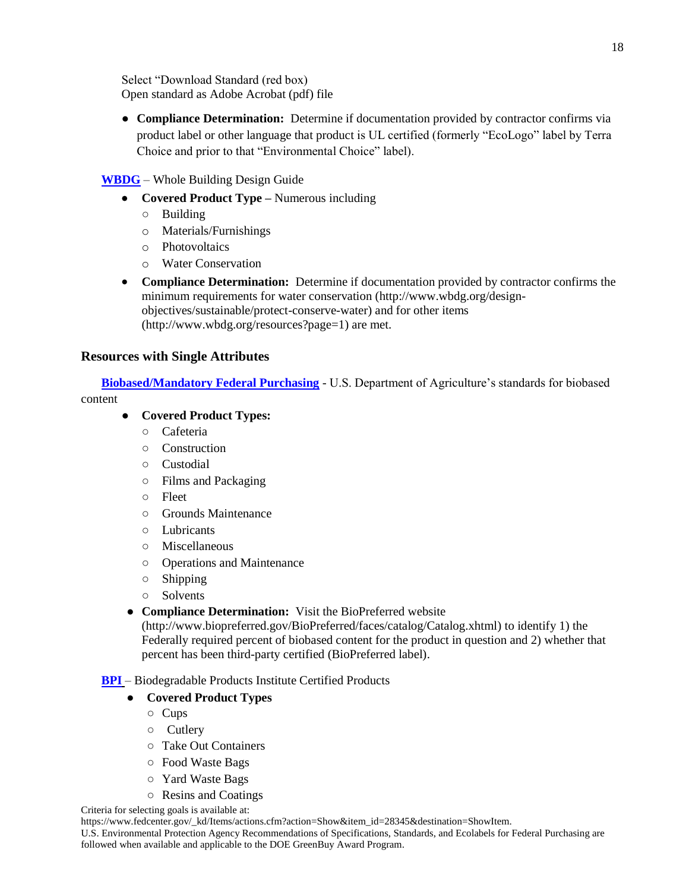Select "Download Standard (red box) Open standard as Adobe Acrobat (pdf) file

● **Compliance Determination:** Determine if documentation provided by contractor confirms via product label or other language that product is UL certified (formerly "EcoLogo" label by Terra Choice and prior to that "Environmental Choice" label).

## **WBDG** – Whole Building Design Guide

- **Covered Product Type –** Numerous including
	- Building
	- o Materials/Furnishings
	- o Photovoltaics
	- o Water Conservation
- **Compliance Determination:** Determine if documentation provided by contractor confirms the minimum requirements for water conservation [\(http://www.wbdg.org/design](http://www.wbdg.org/design-objectives/sustainable/protect-conserve-water)[objectives/sustainable/protect-conserve-water\)](http://www.wbdg.org/design-objectives/sustainable/protect-conserve-water) and for other items [\(http://www.wbdg.org/resources?page=1\)](http://www.wbdg.org/resources?page=1) are met.

## **Resources with Single Attributes**

**Biobased/Mandatory Federal Purchasing** - U.S. Department of Agriculture's standards for biobased content

## ● **Covered Product Types:**

- Cafeteria
- Construction
- Custodial
- Films and Packaging
- Fleet
- Grounds Maintenance
- Lubricants
- Miscellaneous
- Operations and Maintenance
- Shipping
- Solvents
- **Compliance Determination:** Visit the BioPreferred website

[\(http://www.biopreferred.gov/BioPreferred/faces/catalog/Catalog.xhtml\)](http://www.biopreferred.gov/BioPreferred/faces/catalog/Catalog.xhtml) to identify 1) the Federally required percent of biobased content for the product in question and 2) whether that percent has been third-party certified (BioPreferred label).

## **BPI** – Biodegradable Products Institute Certified Products

## ● **Covered Product Types**

- Cups
- Cutlery
- Take Out Containers
- Food Waste Bags
- Yard Waste Bags
- Resins and Coatings

Criteria for selecting goals is available at:

[https://www.fedcenter.gov/\\_kd/Items/actions.cfm?action=Show&item\\_id=28345&destination=ShowItem.](https://www.fedcenter.gov/_kd/Items/actions.cfm?action=Show&item_id=28345&destination=ShowItem)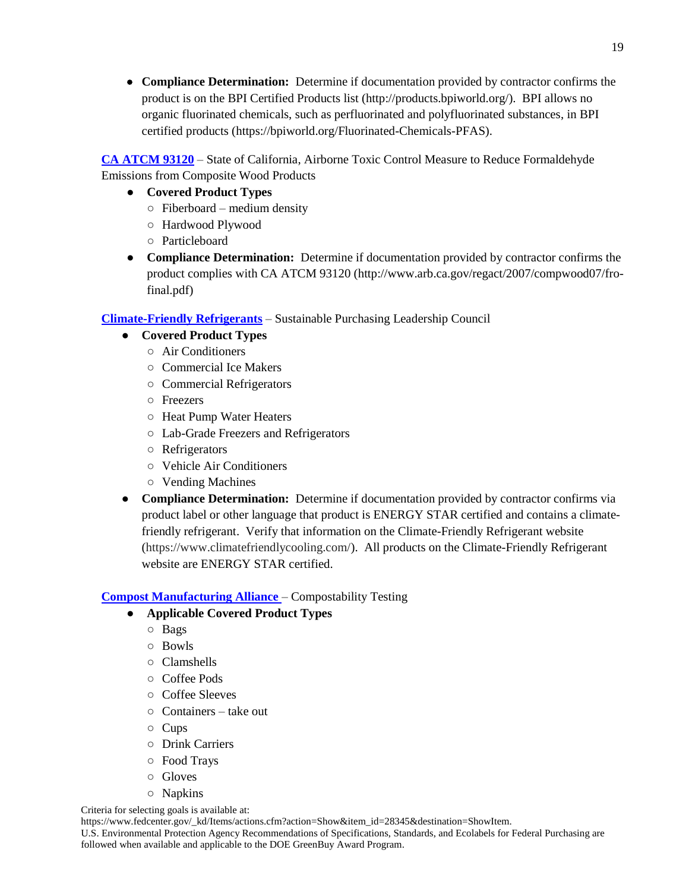**Compliance Determination:** Determine if documentation provided by contractor confirms the product is on the BPI Certified Products list (http://products.bpiworld.org/). BPI allows no organic fluorinated chemicals, such as perfluorinated and polyfluorinated substances, in BPI certified products (https://bpiworld.org/Fluorinated-Chemicals-PFAS).

**CA ATCM 93120** – State of California, Airborne Toxic Control Measure to Reduce Formaldehyde Emissions from Composite Wood Product[s](http://www.epa.gov/epawaste/conserve/tools/cpg/products/index.htm)

- **Covered Product Types**
	- $\circ$  Fiberboard medium density
	- Hardwood Plywood
	- Particleboard
- **Compliance Determination:** Determine if documentation provided by contractor confirms the product complies with CA ATCM 93120 (http://www.arb.ca.gov/regact/2007/compwood07/frofinal.pdf)

## **Climate-Friendly Refrigerants** – Sustainable Purchasing Leadership Council

- **Covered Product Types** 
	- Air Conditioners
	- Commercial Ice Makers
	- Commercial Refrigerators
	- Freezers
	- Heat Pump Water Heaters
	- Lab-Grade Freezers and Refrigerators
	- Refrigerators
	- Vehicle Air Conditioners
	- Vending Machines
- **Compliance Determination:** Determine if documentation provided by contractor confirms via product label or other language that product is ENERGY STAR certified and contains a climatefriendly refrigerant. Verify that information on the Climate-Friendly Refrigerant website (https://www.climatefriendlycooling.com/). All products on the Climate-Friendly Refrigerant website are ENERGY STAR certified.

## **Compost Manufacturing Alliance** – Compostability Testing

## ● **Applicable Covered Product Types**

- Bags
- Bowls
- Clamshells
- Coffee Pods
- Coffee Sleeves
- Containers take out
- Cups
- Drink Carriers
- Food Trays
- Gloves
- Napkins

Criteria for selecting goals is available at:

[https://www.fedcenter.gov/\\_kd/Items/actions.cfm?action=Show&item\\_id=28345&destination=ShowItem.](https://www.fedcenter.gov/_kd/Items/actions.cfm?action=Show&item_id=28345&destination=ShowItem)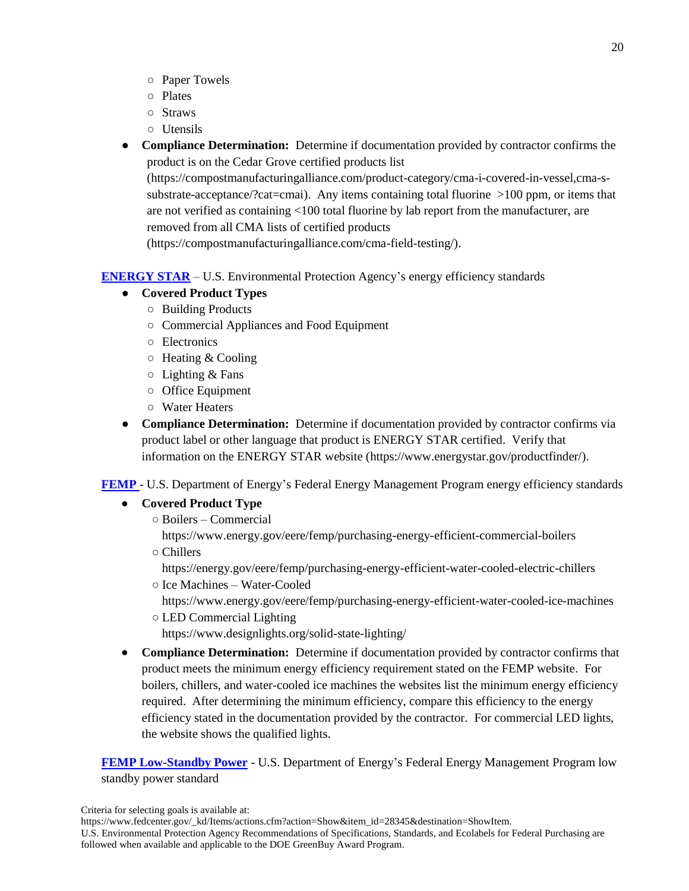- Paper Towels
- Plates
- Straws
- Utensils
- **Compliance Determination:** Determine if documentation provided by contractor confirms the product is on the Cedar Grove certified products list

(https://compostmanufacturingalliance.com/product-category/cma-i-covered-in-vessel,cma-ssubstrate-acceptance/?cat=cmai). Any items containing total fluorine >100 ppm, or items that are not verified as containing <100 total fluorine by lab report from the manufacturer, are removed from all CMA lists of certified products

(https://compostmanufacturingalliance.com/cma-field-testing/).

**ENERGY STAR** – U.S. Environmental Protection Agency's energy efficiency standards

## ● **Covered Product Types**

- Building Products
- Commercial Appliances and Food Equipment
- Electronics
- $\circ$  Heating & Cooling
- $\circ$  Lighting & Fans
- Office Equipment
- Water Heaters
- **Compliance Determination:** Determine if documentation provided by contractor confirms via product label or other language that product is ENERGY STAR certified. Verify that information on the ENERGY STAR website [\(https://www.energystar.gov/productfinder/\)](https://www.energystar.gov/productfinder/).

**FEMP** - U.S. Department of Energy's Federal Energy Management Program energy efficiency standards

## **Covered Product Type**

- Boilers Commercial
- https://www.energy.gov/eere/femp/purchasing-energy-efficient-commercial-boilers ○ Chillers

https://energy.gov/eere/femp/purchasing-energy-efficient-water-cooled-electric-chillers

○ Ice Machines – Water-Cooled

https://www.energy.gov/eere/femp/purchasing-energy-efficient-water-cooled-ice-machines

○ LED Commercial Lighting

https://www.designlights.org/solid-state-lighting/

 **Compliance Determination:** Determine if documentation provided by contractor confirms that product meets the minimum energy efficiency requirement stated on the FEMP website. For boilers, chillers, and water-cooled ice machines the websites list the minimum energy efficiency required. After determining the minimum efficiency, compare this efficiency to the energy efficiency stated in the documentation provided by the contractor. For commercial LED lights, the website shows the qualified lights.

**FEMP Low-Standby Power** - U.S. Department of Energy's Federal Energy Management Program low standby power standard

Criteria for selecting goals is available at:

[https://www.fedcenter.gov/\\_kd/Items/actions.cfm?action=Show&item\\_id=28345&destination=ShowItem.](https://www.fedcenter.gov/_kd/Items/actions.cfm?action=Show&item_id=28345&destination=ShowItem)

U.S. Environmental Protection Agency Recommendations of Specifications, Standards, and Ecolabels for Federal Purchasing are followed when available and applicable to the DOE GreenBuy Award Program.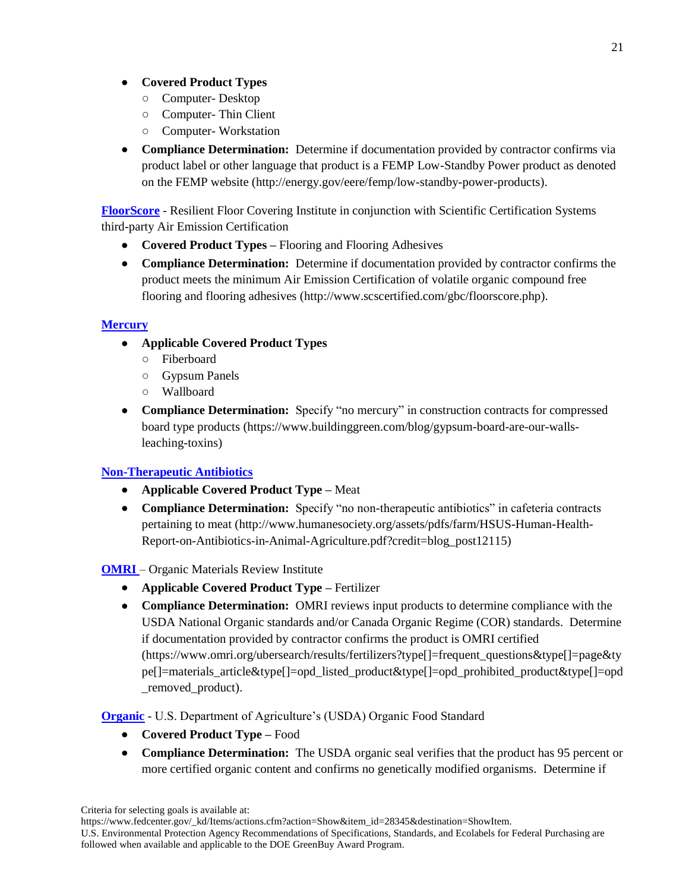## **Covered Product Types**

- Computer- Desktop
- Computer- Thin Client
- Computer- Workstation
- **Compliance Determination:** Determine if documentation provided by contractor confirms via product label or other language that product is a FEMP Low-Standby Power product as denoted on the [FEMP website](http://energy.gov/eere/femp/low-standby-power-products) [\(http://energy.gov/eere/femp/low-standby-power-products\)](http://energy.gov/eere/femp/low-standby-power-products).

**FloorScore** - Resilient Floor Covering Institute in conjunction with Scientific Certification Systems third-party Air Emission Certification

- **Covered Product Types –** Flooring and Flooring Adhesives
- **Compliance Determination:** Determine if documentation provided by contractor confirms the product meets the minimum Air Emission Certification of volatile organic compound free flooring and flooring adhesives [\(http://www.scscertified.com/gbc/floorscore.php\)](http://www.scscertified.com/gbc/floorscore.php).

## **Mercury**

- **Applicable Covered Product Types**
	- Fiberboard
	- Gypsum Panels
	- Wallboard
- **Compliance Determination:** Specify "no mercury" in construction contracts for compressed board type products [\(https://www.buildinggreen.com/blog/gypsum-board-are-our-walls](https://www.buildinggreen.com/blog/gypsum-board-are-our-walls-leaching-toxins)[leaching-toxins\)](https://www.buildinggreen.com/blog/gypsum-board-are-our-walls-leaching-toxins)

## **Non-Therapeutic Antibiotics**

- **Applicable Covered Product Type –** Meat
- **Compliance Determination:** Specify "no non-therapeutic antibiotics" in cafeteria contracts pertaining to meat [\(http://www.humanesociety.org/assets/pdfs/farm/HSUS-Human-Health-](http://www.humanesociety.org/assets/pdfs/farm/HSUS-Human-Health-Report-on-Antibiotics-in-Animal-Agriculture.pdf?credit=blog_post12115)[Report-on-Antibiotics-in-Animal-Agriculture.pdf?credit=blog\\_post12115\)](http://www.humanesociety.org/assets/pdfs/farm/HSUS-Human-Health-Report-on-Antibiotics-in-Animal-Agriculture.pdf?credit=blog_post12115)

## **OMRI** – Organic Materials Review Institute

- **Applicable Covered Product Type –** Fertilizer
- **Compliance Determination:** OMRI reviews input products to determine compliance with the USDA National Organic standards and/or Canada Organic Regime (COR) standards. Determine if documentation provided by contractor confirms the product is OMRI certified (https://www.omri.org/ubersearch/results/fertilizers?type[]=frequent\_questions&type[]=page&ty pe[]=materials\_article&type[]=opd\_listed\_product&type[]=opd\_prohibited\_product&type[]=opd \_removed\_product).

## **Organic** - U.S. Department of Agriculture's (USDA) Organic Food Standard

- **Covered Product Type –** Food
- **Compliance Determination:** The USDA organic seal verifies that the product has 95 percent or more certified organic content and confirms no genetically modified organisms.Determine if

21

U.S. Environmental Protection Agency Recommendations of Specifications, Standards, and Ecolabels for Federal Purchasing are followed when available and applicable to the DOE GreenBuy Award Program.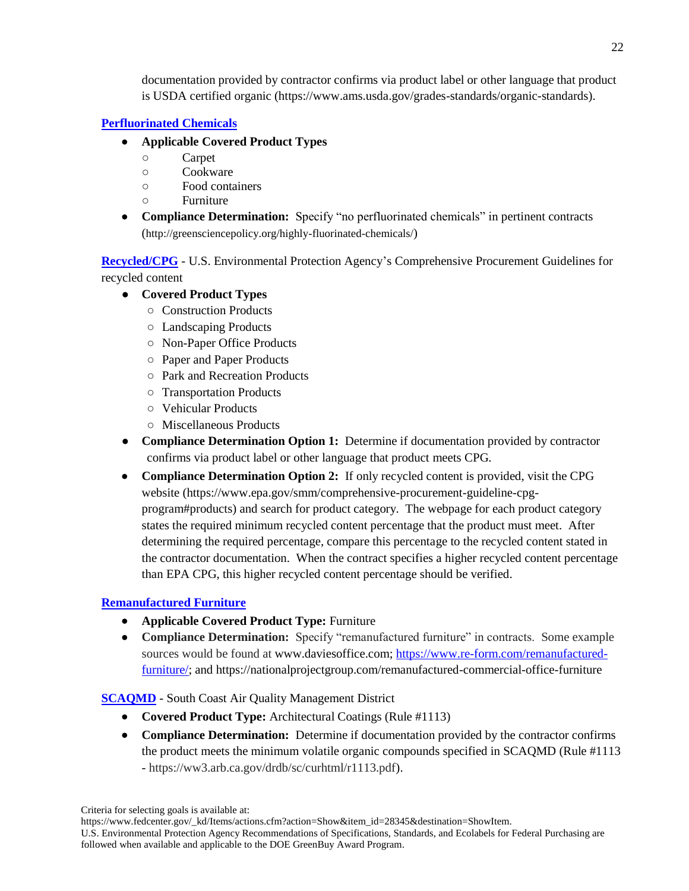documentation provided by contractor confirms via product label or other language that product is USDA certified organic (https://www.ams.usda.gov/grades-standards/organic-standards).

## **Perfluorinated Chemicals**

- **Applicable Covered Product Types**
	- Carpet
	- Cookware
	- Food containers
	- Furniture
- **Compliance Determination:** Specify "no perfluorinated chemicals" in pertinent contracts (http://greensciencepolicy.org/highly-fluorinated-chemicals/)

**Recycled/CPG** - U.S. Environmental Protection Agency's Comprehensive Procurement Guidelines for recycled content

- **Covered Product Types**
	- Construction Products
	- Landscaping Products
	- Non-Paper Office Products
	- Paper and Paper Products
	- Park and Recreation Products
	- Transportation Products
	- Vehicular Products
	- Miscellaneous Products
- **Compliance Determination Option 1:** Determine if documentation provided by contractor confirms via product label or other language that product meets CPG.
- **Compliance Determination Option 2:** If only recycled content is provided, visit the CPG website (https://www.epa.gov/smm/comprehensive-procurement-guideline-cpgprogram#products) and search for product category. The webpage for each product category states the required minimum recycled content percentage that the product must meet. After determining the required percentage, compare this percentage to the recycled content stated in the contractor documentation. When the contract specifies a higher recycled content percentage than EPA CPG, this higher recycled content percentage should be verified.

## **Remanufactured Furniture**

- **Applicable Covered Product Type:** Furniture
- **Compliance Determination:** Specify "remanufactured furniture" in contracts. Some example sources would be found at www.daviesoffice.com; [https://www.re-form.com/remanufactured](https://www.re-form.com/remanufactured-furniture/)[furniture/;](https://www.re-form.com/remanufactured-furniture/) and https://nationalprojectgroup.com/remanufactured-commercial-office-furniture

## **SCAQMD** - South Coast Air Quality Management District

- **Covered Product Type:** Architectural Coatings (Rule #1113)
- **Compliance Determination:** Determine if documentation provided by the contractor confirms the product meets the minimum volatile organic compounds specified in SCAQMD (Rule #1113 - https://ww3.arb.ca.gov/drdb/sc/curhtml/r1113.pdf).

Criteria for selecting goals is available at:

[https://www.fedcenter.gov/\\_kd/Items/actions.cfm?action=Show&item\\_id=28345&destination=ShowItem.](https://www.fedcenter.gov/_kd/Items/actions.cfm?action=Show&item_id=28345&destination=ShowItem)

U.S. Environmental Protection Agency Recommendations of Specifications, Standards, and Ecolabels for Federal Purchasing are followed when available and applicable to the DOE GreenBuy Award Program.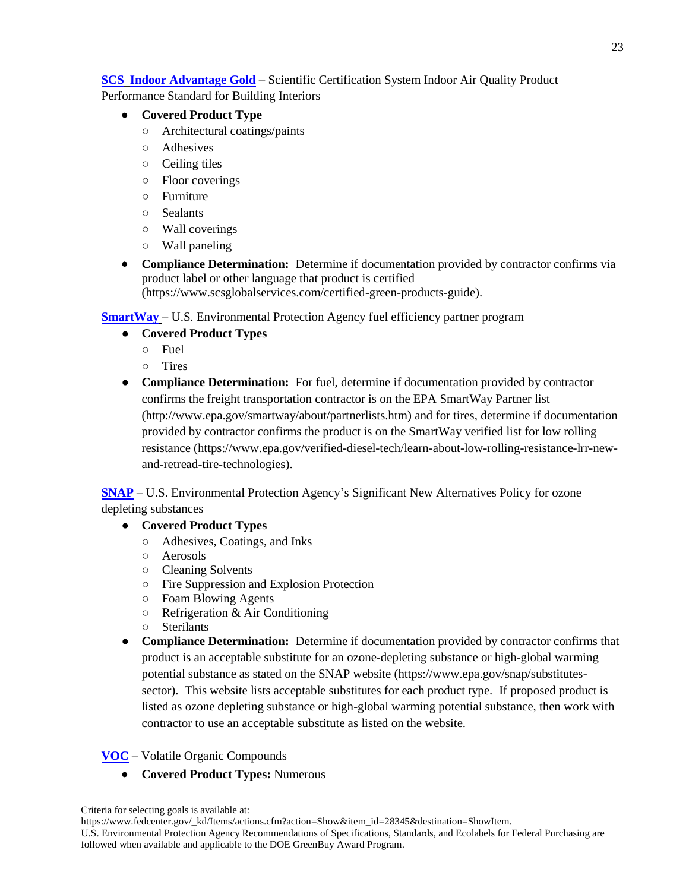## **SCS Indoor Advantage Gold –** Scientific Certification System Indoor Air Quality Product

Performance Standard for Building Interiors

- **Covered Product Type**
	- Architectural coatings/paints
	- Adhesives
	- Ceiling tiles
	- Floor coverings
	- Furniture
	- Sealants
	- Wall coverings
	- Wall paneling
- **Compliance Determination:** Determine if documentation provided by contractor confirms via product label or other language that product is certified [\(https://www.scsglobalservices.com/certified-green-products-guide\)](https://www.scsglobalservices.com/certified-green-products-guide).

**SmartWay** – U.S. Environmental Protection Agency fuel efficiency partner program

- **Covered Product Types**
	- Fuel
	- Tires
- **Compliance Determination:** For fuel, determine if documentation provided by contractor confirms the freight transportation contractor is on the EPA SmartWay Partner list (http://www.epa.gov/smartway/about/partnerlists.htm) and for tires, determine if documentation provided by contractor confirms the product is on the SmartWay verified list for low rolling resistance (https://www.epa.gov/verified-diesel-tech/learn-about-low-rolling-resistance-lrr-newand-retread-tire-technologies).

**SNAP** – U.S. Environmental Protection Agency's Significant New Alternatives Policy for ozone depleting substances

- **Covered Product Types**
	- Adhesives, Coatings, and Inks
	- Aerosols
	- Cleaning Solvents
	- Fire Suppression and Explosion Protection
	- Foam Blowing Agents
	- Refrigeration & Air Conditioning
	- Sterilants
- **Compliance Determination:** Determine if documentation provided by contractor confirms that product is an acceptable substitute for an ozone-depleting substance or high-global warming potential substance as stated on the SNAP website (https://www.epa.gov/snap/substitutessector). This website lists acceptable substitutes for each product type. If proposed product is listed as ozone depleting substance or high-global warming potential substance, then work with contractor to use an acceptable substitute as listed on the website.

## **VOC** – Volatile Organic Compounds

**Covered Product Types:** Numerous

U.S. Environmental Protection Agency Recommendations of Specifications, Standards, and Ecolabels for Federal Purchasing are followed when available and applicable to the DOE GreenBuy Award Program.